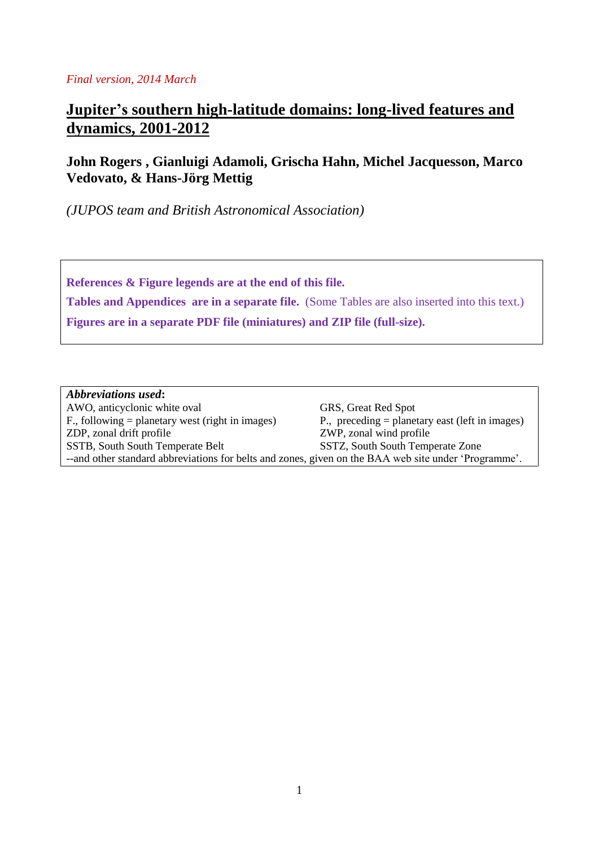#### *Final version, 2014 March*

# **Jupiter's southern high-latitude domains: long-lived features and dynamics, 2001-2012**

### **John Rogers , Gianluigi Adamoli, Grischa Hahn, Michel Jacquesson, Marco Vedovato, & Hans-Jörg Mettig**

*(JUPOS team and British Astronomical Association)*

**References & Figure legends are at the end of this file. Tables and Appendices are in a separate file.** (Some Tables are also inserted into this text.) **Figures are in a separate PDF file (miniatures) and ZIP file (full-size).**

### *Abbreviations used***:**

AWO, anticyclonic white oval<br>
F., following = planetary west (right in images)<br>
P., preceding = planetary east (left in images) F., following  $=$  planetary west (right in images) ZDP, zonal drift profile ZWP, zonal wind profile SSTB, South South Temperate Belt SSTZ, South South Temperate Zone --and other standard abbreviations for belts and zones, given on the BAA web site under 'Programme'.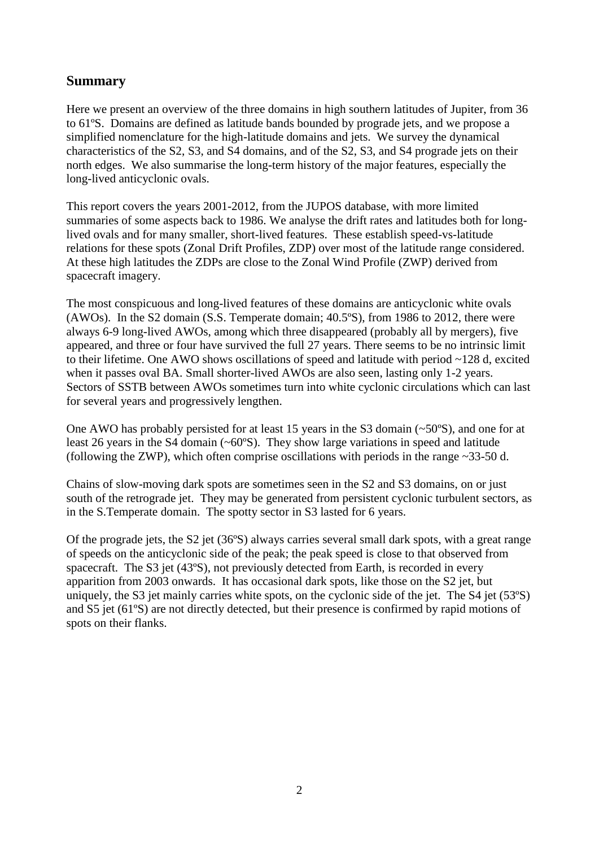### **Summary**

Here we present an overview of the three domains in high southern latitudes of Jupiter, from 36 to 61ºS. Domains are defined as latitude bands bounded by prograde jets, and we propose a simplified nomenclature for the high-latitude domains and jets. We survey the dynamical characteristics of the S2, S3, and S4 domains, and of the S2, S3, and S4 prograde jets on their north edges. We also summarise the long-term history of the major features, especially the long-lived anticyclonic ovals.

This report covers the years 2001-2012, from the JUPOS database, with more limited summaries of some aspects back to 1986. We analyse the drift rates and latitudes both for longlived ovals and for many smaller, short-lived features. These establish speed-vs-latitude relations for these spots (Zonal Drift Profiles, ZDP) over most of the latitude range considered. At these high latitudes the ZDPs are close to the Zonal Wind Profile (ZWP) derived from spacecraft imagery.

The most conspicuous and long-lived features of these domains are anticyclonic white ovals (AWOs). In the S2 domain (S.S. Temperate domain; 40.5ºS), from 1986 to 2012, there were always 6-9 long-lived AWOs, among which three disappeared (probably all by mergers), five appeared, and three or four have survived the full 27 years. There seems to be no intrinsic limit to their lifetime. One AWO shows oscillations of speed and latitude with period ~128 d, excited when it passes oval BA. Small shorter-lived AWOs are also seen, lasting only 1-2 years. Sectors of SSTB between AWOs sometimes turn into white cyclonic circulations which can last for several years and progressively lengthen.

One AWO has probably persisted for at least 15 years in the S3 domain  $(\sim 50^{\circ}S)$ , and one for at least 26 years in the S4 domain (~60ºS). They show large variations in speed and latitude (following the ZWP), which often comprise oscillations with periods in the range ~33-50 d.

Chains of slow-moving dark spots are sometimes seen in the S2 and S3 domains, on or just south of the retrograde jet. They may be generated from persistent cyclonic turbulent sectors, as in the S.Temperate domain. The spotty sector in S3 lasted for 6 years.

Of the prograde jets, the S2 jet (36ºS) always carries several small dark spots, with a great range of speeds on the anticyclonic side of the peak; the peak speed is close to that observed from spacecraft. The S3 jet (43ºS), not previously detected from Earth, is recorded in every apparition from 2003 onwards. It has occasional dark spots, like those on the S2 jet, but uniquely, the S3 jet mainly carries white spots, on the cyclonic side of the jet. The S4 jet (53ºS) and S5 jet (61ºS) are not directly detected, but their presence is confirmed by rapid motions of spots on their flanks.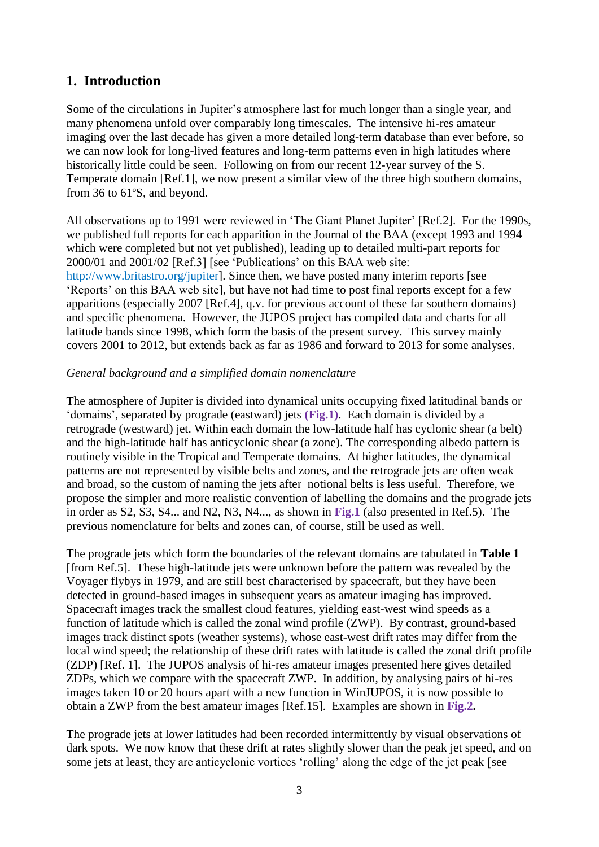### **1. Introduction**

Some of the circulations in Jupiter's atmosphere last for much longer than a single year, and many phenomena unfold over comparably long timescales. The intensive hi-res amateur imaging over the last decade has given a more detailed long-term database than ever before, so we can now look for long-lived features and long-term patterns even in high latitudes where historically little could be seen. Following on from our recent 12-year survey of the S. Temperate domain [Ref.1], we now present a similar view of the three high southern domains, from 36 to 61ºS, and beyond.

All observations up to 1991 were reviewed in 'The Giant Planet Jupiter' [Ref.2]. For the 1990s, we published full reports for each apparition in the Journal of the BAA (except 1993 and 1994 which were completed but not yet published), leading up to detailed multi-part reports for 2000/01 and 2001/02 [Ref.3] [see 'Publications' on this BAA web site: http://www.britastro.org/jupiter]. Since then, we have posted many interim reports [see 'Reports' on this BAA web site], but have not had time to post final reports except for a few apparitions (especially 2007 [Ref.4], q.v. for previous account of these far southern domains) and specific phenomena. However, the JUPOS project has compiled data and charts for all latitude bands since 1998, which form the basis of the present survey. This survey mainly covers 2001 to 2012, but extends back as far as 1986 and forward to 2013 for some analyses.

### *General background and a simplified domain nomenclature*

The atmosphere of Jupiter is divided into dynamical units occupying fixed latitudinal bands or 'domains', separated by prograde (eastward) jets **(Fig.1)**. Each domain is divided by a retrograde (westward) jet. Within each domain the low-latitude half has cyclonic shear (a belt) and the high-latitude half has anticyclonic shear (a zone). The corresponding albedo pattern is routinely visible in the Tropical and Temperate domains. At higher latitudes, the dynamical patterns are not represented by visible belts and zones, and the retrograde jets are often weak and broad, so the custom of naming the jets after notional belts is less useful. Therefore, we propose the simpler and more realistic convention of labelling the domains and the prograde jets in order as S2, S3, S4... and N2, N3, N4..., as shown in **Fig.1** (also presented in Ref.5). The previous nomenclature for belts and zones can, of course, still be used as well.

The prograde jets which form the boundaries of the relevant domains are tabulated in **Table 1** [from Ref.5]. These high-latitude jets were unknown before the pattern was revealed by the Voyager flybys in 1979, and are still best characterised by spacecraft, but they have been detected in ground-based images in subsequent years as amateur imaging has improved. Spacecraft images track the smallest cloud features, yielding east-west wind speeds as a function of latitude which is called the zonal wind profile (ZWP). By contrast, ground-based images track distinct spots (weather systems), whose east-west drift rates may differ from the local wind speed; the relationship of these drift rates with latitude is called the zonal drift profile (ZDP) [Ref. 1]. The JUPOS analysis of hi-res amateur images presented here gives detailed ZDPs, which we compare with the spacecraft ZWP. In addition, by analysing pairs of hi-res images taken 10 or 20 hours apart with a new function in WinJUPOS, it is now possible to obtain a ZWP from the best amateur images [Ref.15]. Examples are shown in **Fig.2.**

The prograde jets at lower latitudes had been recorded intermittently by visual observations of dark spots. We now know that these drift at rates slightly slower than the peak jet speed, and on some jets at least, they are anticyclonic vortices 'rolling' along the edge of the jet peak [see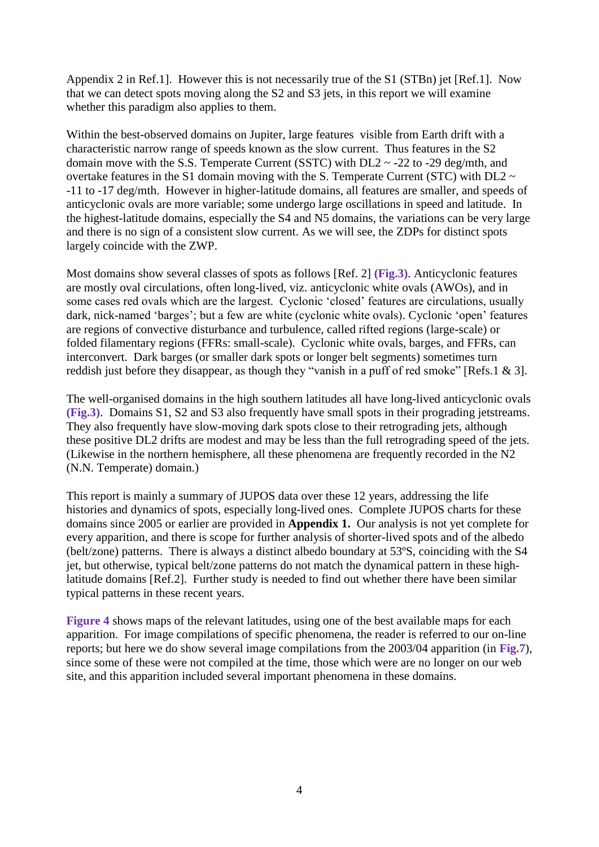Appendix 2 in Ref.1]. However this is not necessarily true of the S1 (STBn) jet [Ref.1]. Now that we can detect spots moving along the S2 and S3 jets, in this report we will examine whether this paradigm also applies to them.

Within the best-observed domains on Jupiter, large features visible from Earth drift with a characteristic narrow range of speeds known as the slow current. Thus features in the S2 domain move with the S.S. Temperate Current (SSTC) with  $DL2 \sim -22$  to  $-29$  deg/mth, and overtake features in the S1 domain moving with the S. Temperate Current (STC) with DL2  $\sim$ -11 to -17 deg/mth. However in higher-latitude domains, all features are smaller, and speeds of anticyclonic ovals are more variable; some undergo large oscillations in speed and latitude. In the highest-latitude domains, especially the S4 and N5 domains, the variations can be very large and there is no sign of a consistent slow current. As we will see, the ZDPs for distinct spots largely coincide with the ZWP.

Most domains show several classes of spots as follows [Ref. 2] **(Fig.3)**. Anticyclonic features are mostly oval circulations, often long-lived, viz. anticyclonic white ovals (AWOs), and in some cases red ovals which are the largest. Cyclonic 'closed' features are circulations, usually dark, nick-named 'barges'; but a few are white (cyclonic white ovals). Cyclonic 'open' features are regions of convective disturbance and turbulence, called rifted regions (large-scale) or folded filamentary regions (FFRs: small-scale). Cyclonic white ovals, barges, and FFRs, can interconvert. Dark barges (or smaller dark spots or longer belt segments) sometimes turn reddish just before they disappear, as though they "vanish in a puff of red smoke" [Refs.1 & 3].

The well-organised domains in the high southern latitudes all have long-lived anticyclonic ovals **(Fig.3)**. Domains S1, S2 and S3 also frequently have small spots in their prograding jetstreams. They also frequently have slow-moving dark spots close to their retrograding jets, although these positive DL2 drifts are modest and may be less than the full retrograding speed of the jets. (Likewise in the northern hemisphere, all these phenomena are frequently recorded in the N2 (N.N. Temperate) domain.)

This report is mainly a summary of JUPOS data over these 12 years, addressing the life histories and dynamics of spots, especially long-lived ones. Complete JUPOS charts for these domains since 2005 or earlier are provided in **Appendix 1.** Our analysis is not yet complete for every apparition, and there is scope for further analysis of shorter-lived spots and of the albedo (belt/zone) patterns. There is always a distinct albedo boundary at 53ºS, coinciding with the S4 jet, but otherwise, typical belt/zone patterns do not match the dynamical pattern in these highlatitude domains [Ref.2]. Further study is needed to find out whether there have been similar typical patterns in these recent years.

**Figure 4** shows maps of the relevant latitudes, using one of the best available maps for each apparition. For image compilations of specific phenomena, the reader is referred to our on-line reports; but here we do show several image compilations from the 2003/04 apparition (in **Fig.7**), since some of these were not compiled at the time, those which were are no longer on our web site, and this apparition included several important phenomena in these domains.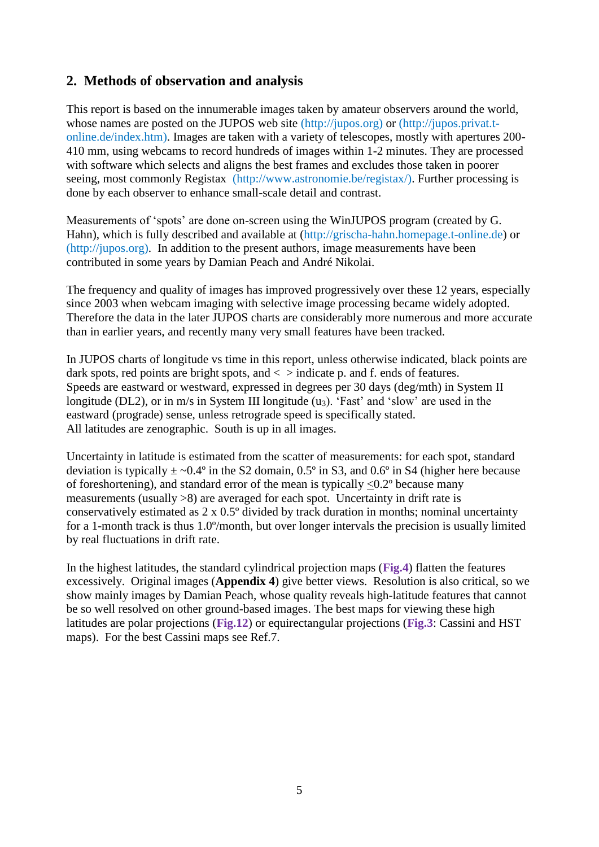# **2. Methods of observation and analysis**

This report is based on the innumerable images taken by amateur observers around the world, whose names are posted on the JUPOS web site (http://jupos.org) or (http://jupos.privat.tonline.de/index.htm). Images are taken with a variety of telescopes, mostly with apertures 200- 410 mm, using webcams to record hundreds of images within 1-2 minutes. They are processed with software which selects and aligns the best frames and excludes those taken in poorer seeing, most commonly Registax (http://www.astronomie.be/registax/). Further processing is done by each observer to enhance small-scale detail and contrast.

Measurements of 'spots' are done on-screen using the WinJUPOS program (created by G. Hahn), which is fully described and available at (http://grischa-hahn.homepage.t-online.de) or (http://jupos.org). In addition to the present authors, image measurements have been contributed in some years by Damian Peach and André Nikolai.

The frequency and quality of images has improved progressively over these 12 years, especially since 2003 when webcam imaging with selective image processing became widely adopted. Therefore the data in the later JUPOS charts are considerably more numerous and more accurate than in earlier years, and recently many very small features have been tracked.

In JUPOS charts of longitude vs time in this report, unless otherwise indicated, black points are dark spots, red points are bright spots, and  $\langle$  > indicate p. and f. ends of features. Speeds are eastward or westward, expressed in degrees per 30 days (deg/mth) in System II longitude (DL2), or in  $m/s$  in System III longitude (u<sub>3</sub>). 'Fast' and 'slow' are used in the eastward (prograde) sense, unless retrograde speed is specifically stated. All latitudes are zenographic. South is up in all images.

Uncertainty in latitude is estimated from the scatter of measurements: for each spot, standard deviation is typically  $\pm$  ~0.4° in the S2 domain, 0.5° in S3, and 0.6° in S4 (higher here because of foreshortening), and standard error of the mean is typically <0.2º because many measurements (usually >8) are averaged for each spot. Uncertainty in drift rate is conservatively estimated as 2 x 0.5º divided by track duration in months; nominal uncertainty for a 1-month track is thus 1.0º/month, but over longer intervals the precision is usually limited by real fluctuations in drift rate.

In the highest latitudes, the standard cylindrical projection maps (**Fig.4**) flatten the features excessively. Original images (**Appendix 4**) give better views. Resolution is also critical, so we show mainly images by Damian Peach, whose quality reveals high-latitude features that cannot be so well resolved on other ground-based images. The best maps for viewing these high latitudes are polar projections (**Fig.12**) or equirectangular projections (**Fig.3**: Cassini and HST maps). For the best Cassini maps see Ref.7.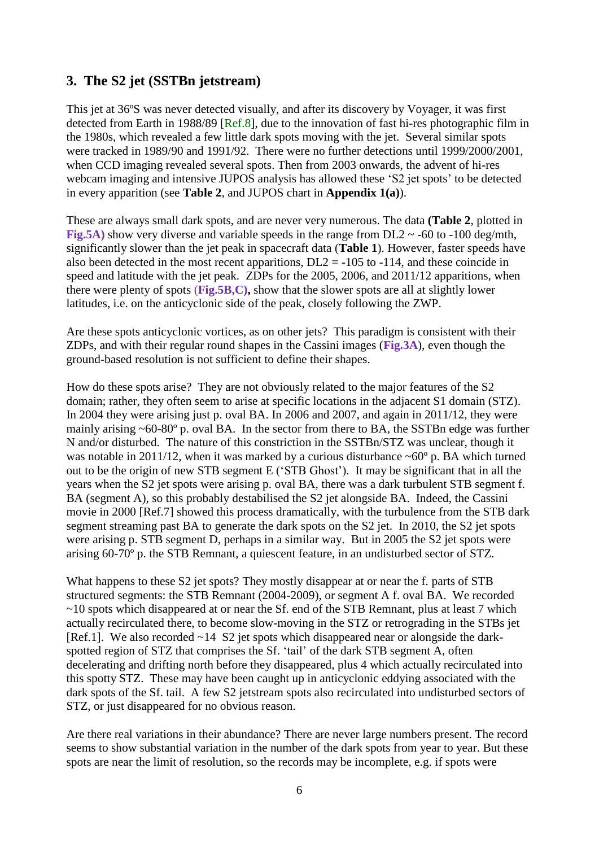# **3. The S2 jet (SSTBn jetstream)**

This jet at 36ºS was never detected visually, and after its discovery by Voyager, it was first detected from Earth in 1988/89 [Ref.8], due to the innovation of fast hi-res photographic film in the 1980s, which revealed a few little dark spots moving with the jet. Several similar spots were tracked in 1989/90 and 1991/92. There were no further detections until 1999/2000/2001, when CCD imaging revealed several spots. Then from 2003 onwards, the advent of hi-res webcam imaging and intensive JUPOS analysis has allowed these 'S2 jet spots' to be detected in every apparition (see **Table 2**, and JUPOS chart in **Appendix 1(a)**).

These are always small dark spots, and are never very numerous. The data **(Table 2**, plotted in **Fig.5A)** show very diverse and variable speeds in the range from  $DL2 \sim -60$  to  $-100$  deg/mth, significantly slower than the jet peak in spacecraft data (**Table 1**). However, faster speeds have also been detected in the most recent apparitions,  $DL2 = -105$  to  $-114$ , and these coincide in speed and latitude with the jet peak. ZDPs for the 2005, 2006, and 2011/12 apparitions, when there were plenty of spots (**Fig.5B,C),** show that the slower spots are all at slightly lower latitudes, i.e. on the anticyclonic side of the peak, closely following the ZWP.

Are these spots anticyclonic vortices, as on other jets? This paradigm is consistent with their ZDPs, and with their regular round shapes in the Cassini images (**Fig.3A**), even though the ground-based resolution is not sufficient to define their shapes.

How do these spots arise? They are not obviously related to the major features of the S2 domain; rather, they often seem to arise at specific locations in the adjacent S1 domain (STZ). In 2004 they were arising just p. oval BA. In 2006 and 2007, and again in 2011/12, they were mainly arising ~60-80º p. oval BA. In the sector from there to BA, the SSTBn edge was further N and/or disturbed. The nature of this constriction in the SSTBn/STZ was unclear, though it was notable in 2011/12, when it was marked by a curious disturbance  $\sim 60^{\circ}$  p. BA which turned out to be the origin of new STB segment E ('STB Ghost'). It may be significant that in all the years when the S2 jet spots were arising p. oval BA, there was a dark turbulent STB segment f. BA (segment A), so this probably destabilised the S2 jet alongside BA. Indeed, the Cassini movie in 2000 [Ref.7] showed this process dramatically, with the turbulence from the STB dark segment streaming past BA to generate the dark spots on the S2 jet. In 2010, the S2 jet spots were arising p. STB segment D, perhaps in a similar way. But in 2005 the S2 jet spots were arising 60-70º p. the STB Remnant, a quiescent feature, in an undisturbed sector of STZ.

What happens to these S2 jet spots? They mostly disappear at or near the f. parts of STB structured segments: the STB Remnant (2004-2009), or segment A f. oval BA. We recorded  $\sim$ 10 spots which disappeared at or near the Sf. end of the STB Remnant, plus at least 7 which actually recirculated there, to become slow-moving in the STZ or retrograding in the STBs jet [Ref.1]. We also recorded ~14 S2 jet spots which disappeared near or alongside the darkspotted region of STZ that comprises the Sf. 'tail' of the dark STB segment A, often decelerating and drifting north before they disappeared, plus 4 which actually recirculated into this spotty STZ. These may have been caught up in anticyclonic eddying associated with the dark spots of the Sf. tail. A few S2 jetstream spots also recirculated into undisturbed sectors of STZ, or just disappeared for no obvious reason.

Are there real variations in their abundance? There are never large numbers present. The record seems to show substantial variation in the number of the dark spots from year to year. But these spots are near the limit of resolution, so the records may be incomplete, e.g. if spots were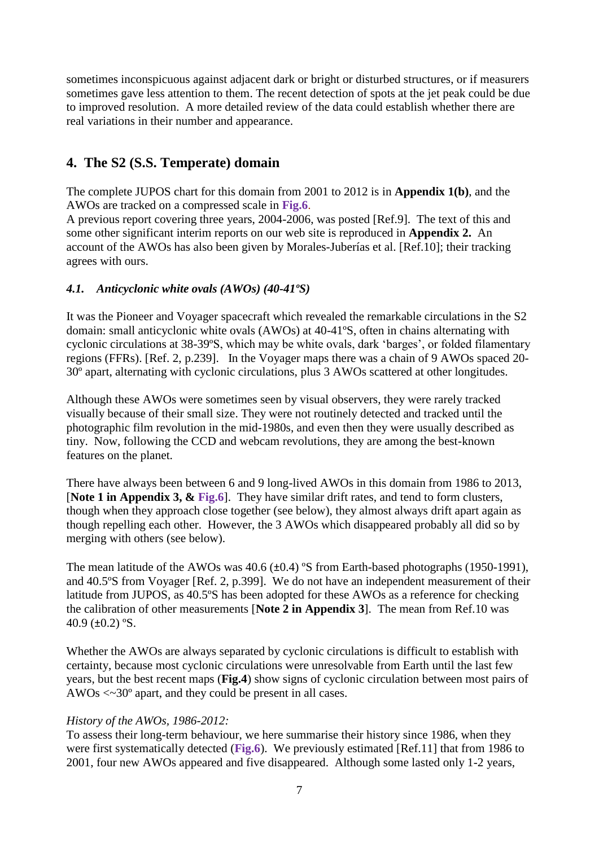sometimes inconspicuous against adjacent dark or bright or disturbed structures, or if measurers sometimes gave less attention to them. The recent detection of spots at the jet peak could be due to improved resolution. A more detailed review of the data could establish whether there are real variations in their number and appearance.

# **4. The S2 (S.S. Temperate) domain**

The complete JUPOS chart for this domain from 2001 to 2012 is in **Appendix 1(b)**, and the AWOs are tracked on a compressed scale in **Fig.6**.

A previous report covering three years, 2004-2006, was posted [Ref.9]. The text of this and some other significant interim reports on our web site is reproduced in **Appendix 2.** An account of the AWOs has also been given by Morales-Juberías et al. [Ref.10]; their tracking agrees with ours.

### *4.1. Anticyclonic white ovals (AWOs) (40-41ºS)*

It was the Pioneer and Voyager spacecraft which revealed the remarkable circulations in the S2 domain: small anticyclonic white ovals (AWOs) at 40-41ºS, often in chains alternating with cyclonic circulations at 38-39ºS, which may be white ovals, dark 'barges', or folded filamentary regions (FFRs). [Ref. 2, p.239]. In the Voyager maps there was a chain of 9 AWOs spaced 20- 30º apart, alternating with cyclonic circulations, plus 3 AWOs scattered at other longitudes.

Although these AWOs were sometimes seen by visual observers, they were rarely tracked visually because of their small size. They were not routinely detected and tracked until the photographic film revolution in the mid-1980s, and even then they were usually described as tiny. Now, following the CCD and webcam revolutions, they are among the best-known features on the planet.

There have always been between 6 and 9 long-lived AWOs in this domain from 1986 to 2013, [**Note 1 in Appendix 3, & Fig.6**]. They have similar drift rates, and tend to form clusters, though when they approach close together (see below), they almost always drift apart again as though repelling each other. However, the 3 AWOs which disappeared probably all did so by merging with others (see below).

The mean latitude of the AWOs was 40.6 ( $\pm$ 0.4) °S from Earth-based photographs (1950-1991), and 40.5ºS from Voyager [Ref. 2, p.399]. We do not have an independent measurement of their latitude from JUPOS, as 40.5ºS has been adopted for these AWOs as a reference for checking the calibration of other measurements [**Note 2 in Appendix 3**]. The mean from Ref.10 was 40.9 ( $\pm$ 0.2) °S.

Whether the AWOs are always separated by cyclonic circulations is difficult to establish with certainty, because most cyclonic circulations were unresolvable from Earth until the last few years, but the best recent maps (**Fig.4**) show signs of cyclonic circulation between most pairs of AWOs <~30º apart, and they could be present in all cases.

### *History of the AWOs, 1986-2012:*

To assess their long-term behaviour, we here summarise their history since 1986, when they were first systematically detected (**Fig.6**). We previously estimated [Ref.11] that from 1986 to 2001, four new AWOs appeared and five disappeared. Although some lasted only 1-2 years,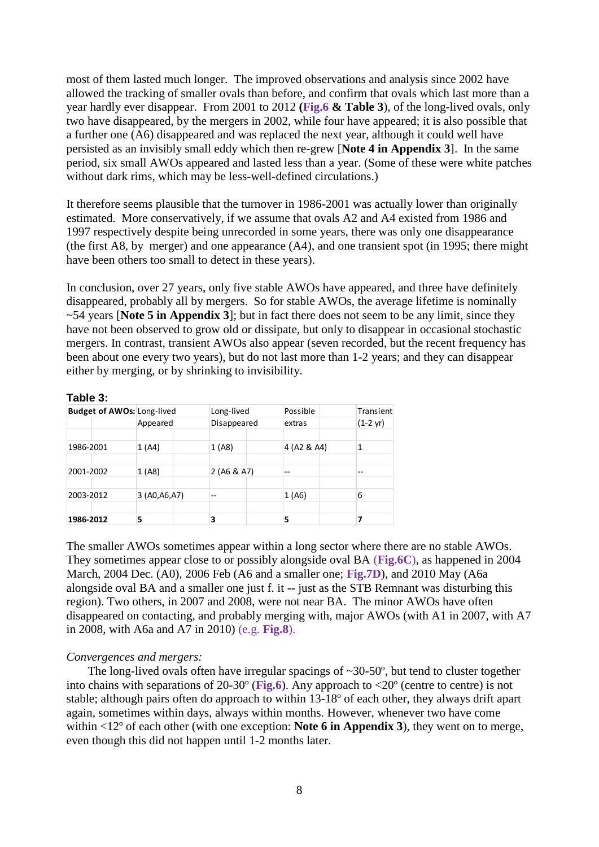most of them lasted much longer. The improved observations and analysis since 2002 have allowed the tracking of smaller ovals than before, and confirm that ovals which last more than a year hardly ever disappear. From 2001 to 2012 **(Fig.6 & Table 3**), of the long-lived ovals, only two have disappeared, by the mergers in 2002, while four have appeared; it is also possible that a further one (A6) disappeared and was replaced the next year, although it could well have persisted as an invisibly small eddy which then re-grew [**Note 4 in Appendix 3**]. In the same period, six small AWOs appeared and lasted less than a year. (Some of these were white patches without dark rims, which may be less-well-defined circulations.)

It therefore seems plausible that the turnover in 1986-2001 was actually lower than originally estimated. More conservatively, if we assume that ovals A2 and A4 existed from 1986 and 1997 respectively despite being unrecorded in some years, there was only one disappearance (the first A8, by merger) and one appearance (A4), and one transient spot (in 1995; there might have been others too small to detect in these years).

In conclusion, over 27 years, only five stable AWOs have appeared, and three have definitely disappeared, probably all by mergers. So for stable AWOs, the average lifetime is nominally ~54 years [**Note 5 in Appendix 3**]; but in fact there does not seem to be any limit, since they have not been observed to grow old or dissipate, but only to disappear in occasional stochastic mergers. In contrast, transient AWOs also appear (seven recorded, but the recent frequency has been about one every two years), but do not last more than 1-2 years; and they can disappear either by merging, or by shrinking to invisibility.

#### **Table 3:**

| <b>Budget of AWOs: Long-lived</b> |                |  | Long-lived  |  | Possible    | Transient          |
|-----------------------------------|----------------|--|-------------|--|-------------|--------------------|
|                                   | Appeared       |  | Disappeared |  | extras      | $(1-2 \text{ yr})$ |
|                                   |                |  |             |  |             |                    |
| 1986-2001                         | 1(A4)          |  | 1(A8)       |  | 4 (A2 & A4) |                    |
|                                   |                |  |             |  |             |                    |
| 2001-2002                         | 1(A8)          |  | 2(46 & A7)  |  | --          | $- -$              |
|                                   |                |  |             |  |             |                    |
| 2003-2012                         | 3 (A0, A6, A7) |  | --          |  | 1(A6)       | 6                  |
|                                   |                |  |             |  |             |                    |
| 1986-2012                         | 5              |  | 3           |  | 5           |                    |

The smaller AWOs sometimes appear within a long sector where there are no stable AWOs. They sometimes appear close to or possibly alongside oval BA (**Fig.6C**), as happened in 2004 March, 2004 Dec. (A0), 2006 Feb (A6 and a smaller one; **Fig.7D**), and 2010 May (A6a alongside oval BA and a smaller one just f. it -- just as the STB Remnant was disturbing this region). Two others, in 2007 and 2008, were not near BA. The minor AWOs have often disappeared on contacting, and probably merging with, major AWOs (with A1 in 2007, with A7 in 2008, with A6a and A7 in 2010) (e.g. **Fig.8**).

#### *Convergences and mergers:*

The long-lived ovals often have irregular spacings of  $\sim$ 30-50 $\degree$ , but tend to cluster together into chains with separations of 20-30º (**Fig.6**). Any approach to <20º (centre to centre) is not stable; although pairs often do approach to within 13-18º of each other, they always drift apart again, sometimes within days, always within months. However, whenever two have come within <12º of each other (with one exception: **Note 6 in Appendix 3**), they went on to merge, even though this did not happen until 1-2 months later.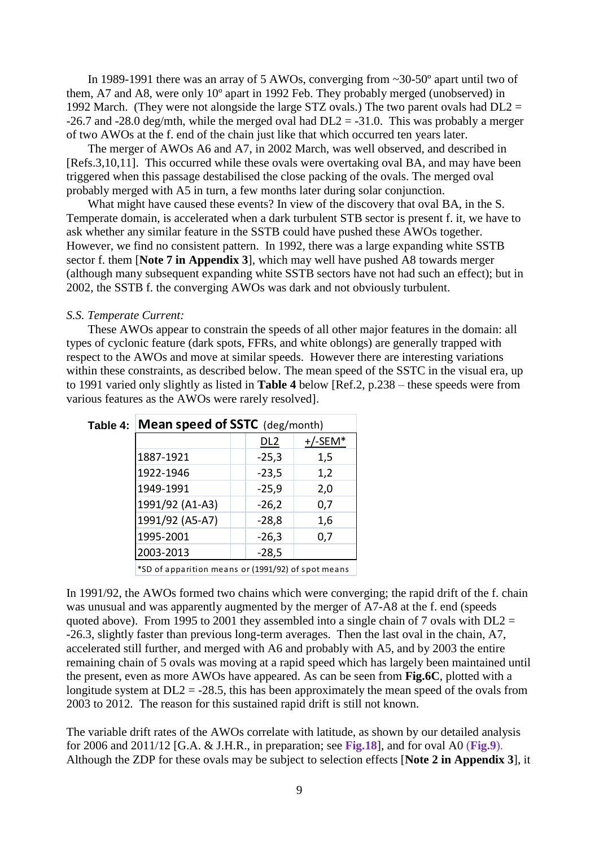In 1989-1991 there was an array of 5 AWOs, converging from ~30-50° apart until two of them, A7 and A8, were only 10º apart in 1992 Feb. They probably merged (unobserved) in 1992 March. (They were not alongside the large STZ ovals.) The two parent ovals had  $DL2 =$  $-26.7$  and  $-28.0$  deg/mth, while the merged oval had  $DL2 = -31.0$ . This was probably a merger of two AWOs at the f. end of the chain just like that which occurred ten years later.

The merger of AWOs A6 and A7, in 2002 March, was well observed, and described in [Refs.3,10,11]. This occurred while these ovals were overtaking oval BA, and may have been triggered when this passage destabilised the close packing of the ovals. The merged oval probably merged with A5 in turn, a few months later during solar conjunction.

What might have caused these events? In view of the discovery that oval BA, in the S. Temperate domain, is accelerated when a dark turbulent STB sector is present f. it, we have to ask whether any similar feature in the SSTB could have pushed these AWOs together. However, we find no consistent pattern. In 1992, there was a large expanding white SSTB sector f. them [**Note 7 in Appendix 3**], which may well have pushed A8 towards merger (although many subsequent expanding white SSTB sectors have not had such an effect); but in 2002, the SSTB f. the converging AWOs was dark and not obviously turbulent.

#### *S.S. Temperate Current:*

These AWOs appear to constrain the speeds of all other major features in the domain: all types of cyclonic feature (dark spots, FFRs, and white oblongs) are generally trapped with respect to the AWOs and move at similar speeds. However there are interesting variations within these constraints, as described below. The mean speed of the SSTC in the visual era, up to 1991 varied only slightly as listed in **Table 4** below [Ref.2, p.238 – these speeds were from various features as the AWOs were rarely resolved].

| Table 4: Mean speed of SSTC (deg/month)            |  |                 |            |  |  |  |  |
|----------------------------------------------------|--|-----------------|------------|--|--|--|--|
|                                                    |  | DL <sub>2</sub> | $+/-$ SEM* |  |  |  |  |
| 1887-1921                                          |  | $-25,3$         | 1,5        |  |  |  |  |
| 1922-1946                                          |  | $-23,5$         | 1,2        |  |  |  |  |
| 1949-1991                                          |  | $-25,9$         | 2,0        |  |  |  |  |
| 1991/92 (A1-A3)                                    |  | $-26,2$         | 0,7        |  |  |  |  |
| 1991/92 (A5-A7)                                    |  | $-28,8$         | 1,6        |  |  |  |  |
| 1995-2001                                          |  | $-26,3$         | 0,7        |  |  |  |  |
| 2003-2013                                          |  | $-28,5$         |            |  |  |  |  |
| *SD of apparition means or (1991/92) of spot means |  |                 |            |  |  |  |  |

In 1991/92, the AWOs formed two chains which were converging; the rapid drift of the f. chain was unusual and was apparently augmented by the merger of A7-A8 at the f. end (speeds quoted above). From 1995 to 2001 they assembled into a single chain of 7 ovals with  $DL2 =$ -26.3, slightly faster than previous long-term averages. Then the last oval in the chain, A7, accelerated still further, and merged with A6 and probably with A5, and by 2003 the entire remaining chain of 5 ovals was moving at a rapid speed which has largely been maintained until the present, even as more AWOs have appeared. As can be seen from **Fig.6C**, plotted with a longitude system at  $DL2 = -28.5$ , this has been approximately the mean speed of the ovals from 2003 to 2012. The reason for this sustained rapid drift is still not known.

The variable drift rates of the AWOs correlate with latitude, as shown by our detailed analysis for 2006 and 2011/12 [G.A. & J.H.R., in preparation; see **Fig.18**], and for oval A0 (**Fig.9**). Although the ZDP for these ovals may be subject to selection effects [**Note 2 in Appendix 3**], it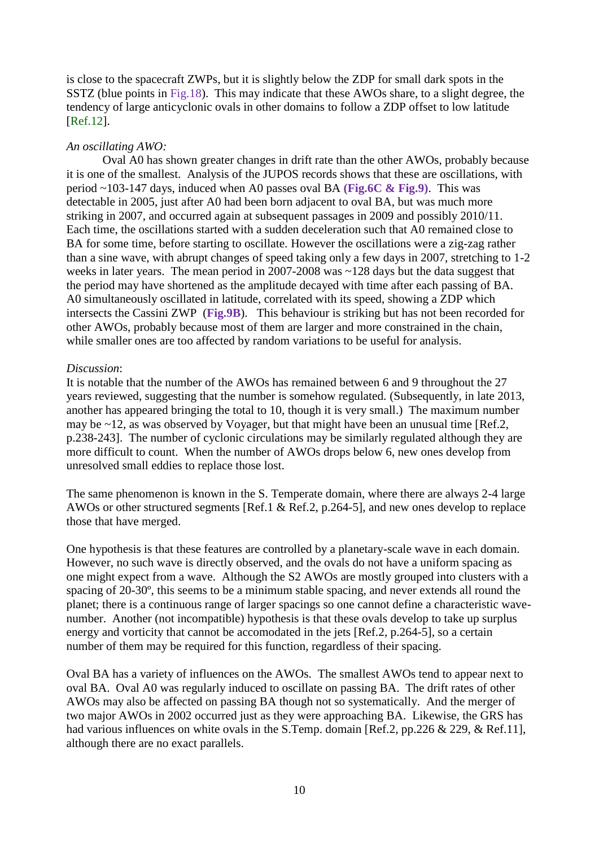is close to the spacecraft ZWPs, but it is slightly below the ZDP for small dark spots in the SSTZ (blue points in Fig.18). This may indicate that these AWOs share, to a slight degree, the tendency of large anticyclonic ovals in other domains to follow a ZDP offset to low latitude [Ref.12].

#### *An oscillating AWO:*

Oval A0 has shown greater changes in drift rate than the other AWOs, probably because it is one of the smallest. Analysis of the JUPOS records shows that these are oscillations, with period ~103-147 days, induced when A0 passes oval BA **(Fig.6C & Fig.9)**. This was detectable in 2005, just after A0 had been born adjacent to oval BA, but was much more striking in 2007, and occurred again at subsequent passages in 2009 and possibly 2010/11. Each time, the oscillations started with a sudden deceleration such that A0 remained close to BA for some time, before starting to oscillate. However the oscillations were a zig-zag rather than a sine wave, with abrupt changes of speed taking only a few days in 2007, stretching to 1-2 weeks in later years. The mean period in 2007-2008 was ~128 days but the data suggest that the period may have shortened as the amplitude decayed with time after each passing of BA. A0 simultaneously oscillated in latitude, correlated with its speed, showing a ZDP which intersects the Cassini ZWP (**Fig.9B**). This behaviour is striking but has not been recorded for other AWOs, probably because most of them are larger and more constrained in the chain, while smaller ones are too affected by random variations to be useful for analysis.

### *Discussion*:

It is notable that the number of the AWOs has remained between 6 and 9 throughout the 27 years reviewed, suggesting that the number is somehow regulated. (Subsequently, in late 2013, another has appeared bringing the total to 10, though it is very small.) The maximum number may be ~12, as was observed by Voyager, but that might have been an unusual time [Ref.2, p.238-243]. The number of cyclonic circulations may be similarly regulated although they are more difficult to count. When the number of AWOs drops below 6, new ones develop from unresolved small eddies to replace those lost.

The same phenomenon is known in the S. Temperate domain, where there are always 2-4 large AWOs or other structured segments [Ref.1 & Ref.2, p.264-5], and new ones develop to replace those that have merged.

One hypothesis is that these features are controlled by a planetary-scale wave in each domain. However, no such wave is directly observed, and the ovals do not have a uniform spacing as one might expect from a wave. Although the S2 AWOs are mostly grouped into clusters with a spacing of 20-30º, this seems to be a minimum stable spacing, and never extends all round the planet; there is a continuous range of larger spacings so one cannot define a characteristic wavenumber. Another (not incompatible) hypothesis is that these ovals develop to take up surplus energy and vorticity that cannot be accomodated in the jets [Ref.2, p.264-5], so a certain number of them may be required for this function, regardless of their spacing.

Oval BA has a variety of influences on the AWOs. The smallest AWOs tend to appear next to oval BA. Oval A0 was regularly induced to oscillate on passing BA. The drift rates of other AWOs may also be affected on passing BA though not so systematically. And the merger of two major AWOs in 2002 occurred just as they were approaching BA. Likewise, the GRS has had various influences on white ovals in the S.Temp. domain [Ref.2, pp.226 & 229, & Ref.11], although there are no exact parallels.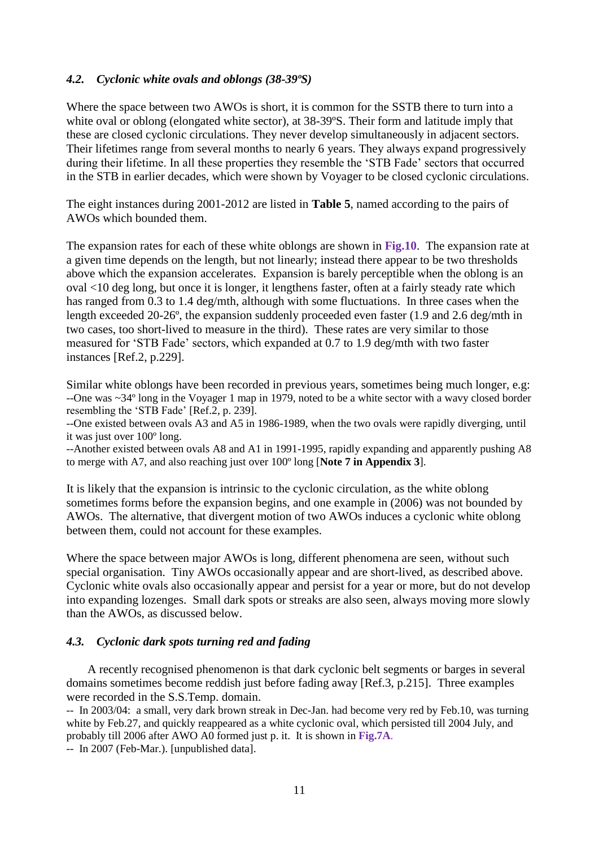#### *4.2. Cyclonic white ovals and oblongs (38-39ºS)*

Where the space between two AWOs is short, it is common for the SSTB there to turn into a white oval or oblong (elongated white sector), at 38-39°S. Their form and latitude imply that these are closed cyclonic circulations. They never develop simultaneously in adjacent sectors. Their lifetimes range from several months to nearly 6 years. They always expand progressively during their lifetime. In all these properties they resemble the 'STB Fade' sectors that occurred in the STB in earlier decades, which were shown by Voyager to be closed cyclonic circulations.

The eight instances during 2001-2012 are listed in **Table 5**, named according to the pairs of AWOs which bounded them.

The expansion rates for each of these white oblongs are shown in **Fig.10**. The expansion rate at a given time depends on the length, but not linearly; instead there appear to be two thresholds above which the expansion accelerates. Expansion is barely perceptible when the oblong is an oval <10 deg long, but once it is longer, it lengthens faster, often at a fairly steady rate which has ranged from 0.3 to 1.4 deg/mth, although with some fluctuations. In three cases when the length exceeded 20-26º, the expansion suddenly proceeded even faster (1.9 and 2.6 deg/mth in two cases, too short-lived to measure in the third). These rates are very similar to those measured for 'STB Fade' sectors, which expanded at 0.7 to 1.9 deg/mth with two faster instances [Ref.2, p.229].

Similar white oblongs have been recorded in previous years, sometimes being much longer, e.g: --One was ~34º long in the Voyager 1 map in 1979, noted to be a white sector with a wavy closed border resembling the 'STB Fade' [Ref.2, p. 239].

--One existed between ovals A3 and A5 in 1986-1989, when the two ovals were rapidly diverging, until it was just over 100º long.

--Another existed between ovals A8 and A1 in 1991-1995, rapidly expanding and apparently pushing A8 to merge with A7, and also reaching just over 100º long [**Note 7 in Appendix 3**].

It is likely that the expansion is intrinsic to the cyclonic circulation, as the white oblong sometimes forms before the expansion begins, and one example in (2006) was not bounded by AWOs. The alternative, that divergent motion of two AWOs induces a cyclonic white oblong between them, could not account for these examples.

Where the space between major AWOs is long, different phenomena are seen, without such special organisation. Tiny AWOs occasionally appear and are short-lived, as described above. Cyclonic white ovals also occasionally appear and persist for a year or more, but do not develop into expanding lozenges. Small dark spots or streaks are also seen, always moving more slowly than the AWOs, as discussed below.

#### *4.3. Cyclonic dark spots turning red and fading*

 A recently recognised phenomenon is that dark cyclonic belt segments or barges in several domains sometimes become reddish just before fading away [Ref.3, p.215]. Three examples were recorded in the S.S.Temp. domain.

-- In 2003/04: a small, very dark brown streak in Dec-Jan. had become very red by Feb.10, was turning white by Feb.27, and quickly reappeared as a white cyclonic oval, which persisted till 2004 July, and probably till 2006 after AWO A0 formed just p. it. It is shown in **Fig.7A**.

-- In 2007 (Feb-Mar.). [unpublished data].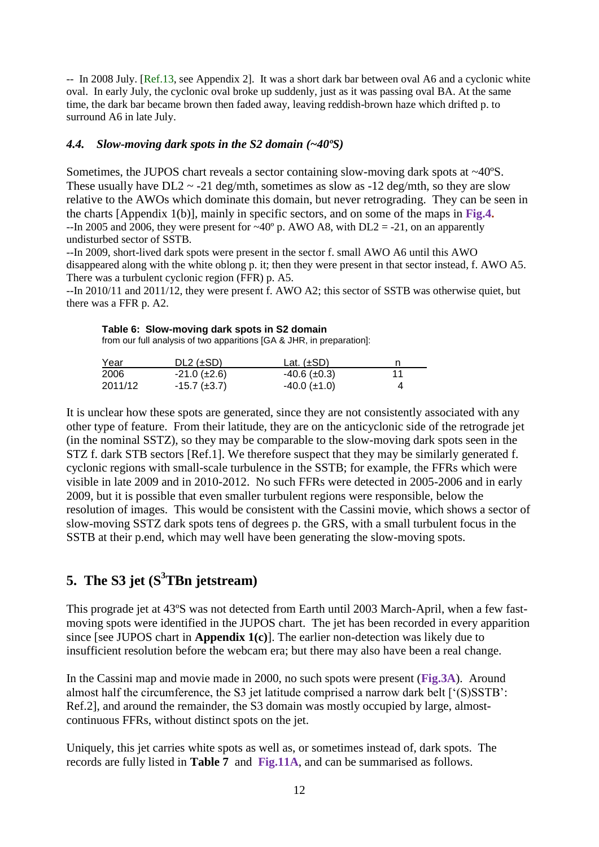-- In 2008 July. [Ref.13, see Appendix 2]. It was a short dark bar between oval A6 and a cyclonic white oval. In early July, the cyclonic oval broke up suddenly, just as it was passing oval BA. At the same time, the dark bar became brown then faded away, leaving reddish-brown haze which drifted p. to surround A6 in late July.

#### *4.4. Slow-moving dark spots in the S2 domain (~40ºS)*

Sometimes, the JUPOS chart reveals a sector containing slow-moving dark spots at ~40ºS. These usually have  $DL2 \sim -21$  deg/mth, sometimes as slow as  $-12$  deg/mth, so they are slow relative to the AWOs which dominate this domain, but never retrograding. They can be seen in the charts [Appendix 1(b)], mainly in specific sectors, and on some of the maps in **Fig.4.**  $-$ In 2005 and 2006, they were present for  $\sim$ 40° p. AWO A8, with DL2 = -21, on an apparently undisturbed sector of SSTB.

--In 2009, short-lived dark spots were present in the sector f. small AWO A6 until this AWO disappeared along with the white oblong p. it; then they were present in that sector instead, f. AWO A5. There was a turbulent cyclonic region (FFR) p. A5.

--In 2010/11 and 2011/12, they were present f. AWO A2; this sector of SSTB was otherwise quiet, but there was a FFR p. A2.

**Table 6: Slow-moving dark spots in S2 domain** from our full analysis of two apparitions [GA & JHR, in preparation]:

| Year    | DL2 $(\pm SD)$        | Lat. $(\pm SD)$      |  |
|---------|-----------------------|----------------------|--|
| 2006    | $-21.0$ ( $\pm 2.6$ ) | $-40.6$ ( $\pm$ 0.3) |  |
| 2011/12 | $-15.7$ ( $\pm 3.7$ ) | $-40.0$ ( $\pm$ 1.0) |  |

It is unclear how these spots are generated, since they are not consistently associated with any other type of feature. From their latitude, they are on the anticyclonic side of the retrograde jet (in the nominal SSTZ), so they may be comparable to the slow-moving dark spots seen in the STZ f. dark STB sectors [Ref.1]. We therefore suspect that they may be similarly generated f. cyclonic regions with small-scale turbulence in the SSTB; for example, the FFRs which were visible in late 2009 and in 2010-2012. No such FFRs were detected in 2005-2006 and in early 2009, but it is possible that even smaller turbulent regions were responsible, below the resolution of images. This would be consistent with the Cassini movie, which shows a sector of slow-moving SSTZ dark spots tens of degrees p. the GRS, with a small turbulent focus in the SSTB at their p.end, which may well have been generating the slow-moving spots.

# **5. The S3 jet (S<sup>3</sup>TBn jetstream)**

This prograde jet at 43ºS was not detected from Earth until 2003 March-April, when a few fastmoving spots were identified in the JUPOS chart. The jet has been recorded in every apparition since [see JUPOS chart in **Appendix 1(c)**]. The earlier non-detection was likely due to insufficient resolution before the webcam era; but there may also have been a real change.

In the Cassini map and movie made in 2000, no such spots were present (**Fig.3A**). Around almost half the circumference, the S3 jet latitude comprised a narrow dark belt ['(S)SSTB': Ref.2], and around the remainder, the S3 domain was mostly occupied by large, almostcontinuous FFRs, without distinct spots on the jet.

Uniquely, this jet carries white spots as well as, or sometimes instead of, dark spots. The records are fully listed in **Table 7** and **Fig.11A**, and can be summarised as follows.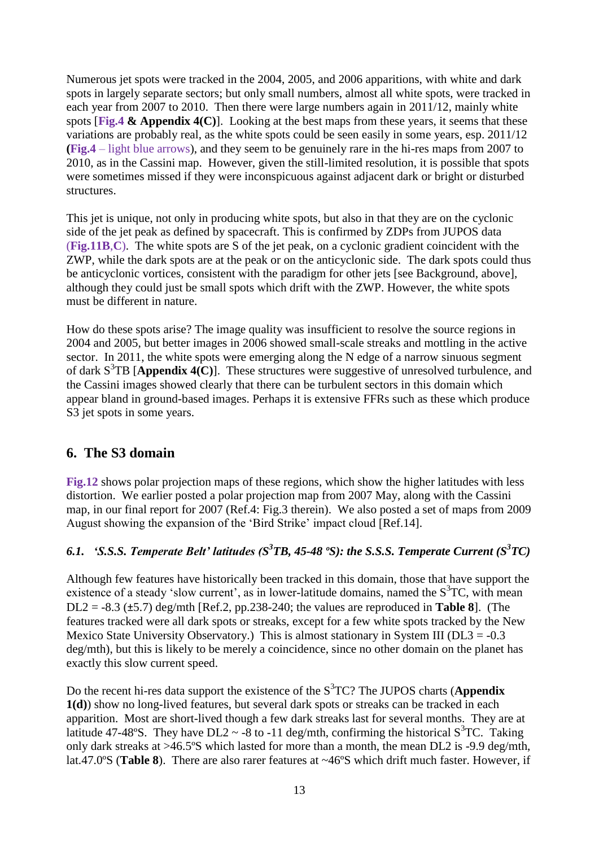Numerous jet spots were tracked in the 2004, 2005, and 2006 apparitions, with white and dark spots in largely separate sectors; but only small numbers, almost all white spots, were tracked in each year from 2007 to 2010. Then there were large numbers again in 2011/12, mainly white spots [**Fig.4 & Appendix 4(C)**]. Looking at the best maps from these years, it seems that these variations are probably real, as the white spots could be seen easily in some years, esp. 2011/12 **(Fig.4** – light blue arrows), and they seem to be genuinely rare in the hi-res maps from 2007 to 2010, as in the Cassini map. However, given the still-limited resolution, it is possible that spots were sometimes missed if they were inconspicuous against adjacent dark or bright or disturbed structures.

This jet is unique, not only in producing white spots, but also in that they are on the cyclonic side of the jet peak as defined by spacecraft. This is confirmed by ZDPs from JUPOS data (**Fig.11B**,**C**). The white spots are S of the jet peak, on a cyclonic gradient coincident with the ZWP, while the dark spots are at the peak or on the anticyclonic side. The dark spots could thus be anticyclonic vortices, consistent with the paradigm for other jets [see Background, above], although they could just be small spots which drift with the ZWP. However, the white spots must be different in nature.

How do these spots arise? The image quality was insufficient to resolve the source regions in 2004 and 2005, but better images in 2006 showed small-scale streaks and mottling in the active sector. In 2011, the white spots were emerging along the N edge of a narrow sinuous segment of dark S<sup>3</sup>TB [Appendix 4(C)]. These structures were suggestive of unresolved turbulence, and the Cassini images showed clearly that there can be turbulent sectors in this domain which appear bland in ground-based images. Perhaps it is extensive FFRs such as these which produce S3 jet spots in some years.

# **6. The S3 domain**

**Fig.12** shows polar projection maps of these regions, which show the higher latitudes with less distortion. We earlier posted a polar projection map from 2007 May, along with the Cassini map, in our final report for 2007 (Ref.4: Fig.3 therein). We also posted a set of maps from 2009 August showing the expansion of the 'Bird Strike' impact cloud [Ref.14].

### *6.1. 'S.S.S. Temperate Belt' latitudes (S 3 TB, 45-48 ºS): the S.S.S. Temperate Current (S<sup>3</sup> TC)*

Although few features have historically been tracked in this domain, those that have support the existence of a steady 'slow current', as in lower-latitude domains, named the  $S<sup>3</sup>TC$ , with mean DL2 = -8.3 (±5.7) deg/mth [Ref.2, pp.238-240; the values are reproduced in **Table 8**]. (The features tracked were all dark spots or streaks, except for a few white spots tracked by the New Mexico State University Observatory.) This is almost stationary in System III ( $DL3 = -0.3$ ) deg/mth), but this is likely to be merely a coincidence, since no other domain on the planet has exactly this slow current speed.

Do the recent hi-res data support the existence of the S<sup>3</sup>TC? The JUPOS charts (Appendix **1(d)**) show no long-lived features, but several dark spots or streaks can be tracked in each apparition. Most are short-lived though a few dark streaks last for several months. They are at latitude 47-48°S. They have DL2  $\sim$  -8 to -11 deg/mth, confirming the historical S<sup>3</sup>TC. Taking only dark streaks at >46.5ºS which lasted for more than a month, the mean DL2 is -9.9 deg/mth, lat.47.0ºS (**Table 8**). There are also rarer features at ~46ºS which drift much faster. However, if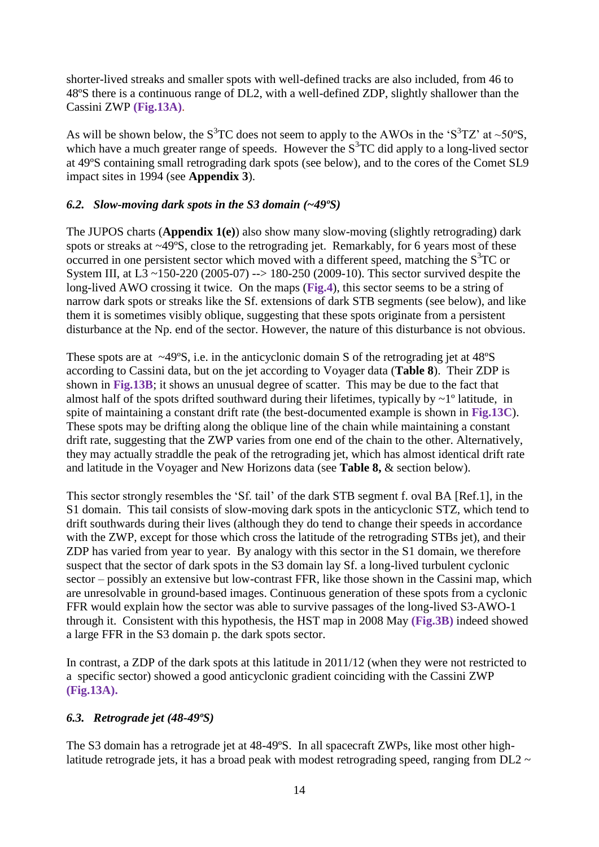shorter-lived streaks and smaller spots with well-defined tracks are also included, from 46 to 48ºS there is a continuous range of DL2, with a well-defined ZDP, slightly shallower than the Cassini ZWP **(Fig.13A)**.

As will be shown below, the  $S^{3}TC$  does not seem to apply to the AWOs in the ' $S^{3}TZ$ ' at ~50°S, which have a much greater range of speeds. However the  $S<sup>3</sup>TC$  did apply to a long-lived sector at 49ºS containing small retrograding dark spots (see below), and to the cores of the Comet SL9 impact sites in 1994 (see **Appendix 3**).

### *6.2. Slow-moving dark spots in the S3 domain (~49ºS)*

The JUPOS charts (**Appendix 1(e)**) also show many slow-moving (slightly retrograding) dark spots or streaks at ~49ºS, close to the retrograding jet. Remarkably, for 6 years most of these occurred in one persistent sector which moved with a different speed, matching the  $S^{3}TC$  or System III, at  $\overline{L_3} \sim 150-220$  (2005-07) --> 180-250 (2009-10). This sector survived despite the long-lived AWO crossing it twice. On the maps (**Fig.4**), this sector seems to be a string of narrow dark spots or streaks like the Sf. extensions of dark STB segments (see below), and like them it is sometimes visibly oblique, suggesting that these spots originate from a persistent disturbance at the Np. end of the sector. However, the nature of this disturbance is not obvious.

These spots are at ~49ºS, i.e. in the anticyclonic domain S of the retrograding jet at 48ºS according to Cassini data, but on the jet according to Voyager data (**Table 8**). Their ZDP is shown in **Fig.13B**; it shows an unusual degree of scatter. This may be due to the fact that almost half of the spots drifted southward during their lifetimes, typically by  $\sim$  1<sup>°</sup> latitude, in spite of maintaining a constant drift rate (the best-documented example is shown in **Fig.13C**). These spots may be drifting along the oblique line of the chain while maintaining a constant drift rate, suggesting that the ZWP varies from one end of the chain to the other. Alternatively, they may actually straddle the peak of the retrograding jet, which has almost identical drift rate and latitude in the Voyager and New Horizons data (see **Table 8,** & section below).

This sector strongly resembles the 'Sf. tail' of the dark STB segment f. oval BA [Ref.1], in the S1 domain. This tail consists of slow-moving dark spots in the anticyclonic STZ, which tend to drift southwards during their lives (although they do tend to change their speeds in accordance with the ZWP, except for those which cross the latitude of the retrograding STBs jet), and their ZDP has varied from year to year. By analogy with this sector in the S1 domain, we therefore suspect that the sector of dark spots in the S3 domain lay Sf. a long-lived turbulent cyclonic sector – possibly an extensive but low-contrast FFR, like those shown in the Cassini map, which are unresolvable in ground-based images. Continuous generation of these spots from a cyclonic FFR would explain how the sector was able to survive passages of the long-lived S3-AWO-1 through it. Consistent with this hypothesis, the HST map in 2008 May **(Fig.3B)** indeed showed a large FFR in the S3 domain p. the dark spots sector.

In contrast, a ZDP of the dark spots at this latitude in 2011/12 (when they were not restricted to a specific sector) showed a good anticyclonic gradient coinciding with the Cassini ZWP **(Fig.13A).** 

### *6.3. Retrograde jet (48-49ºS)*

The S3 domain has a retrograde jet at 48-49ºS. In all spacecraft ZWPs, like most other highlatitude retrograde jets, it has a broad peak with modest retrograding speed, ranging from  $DL2 \sim$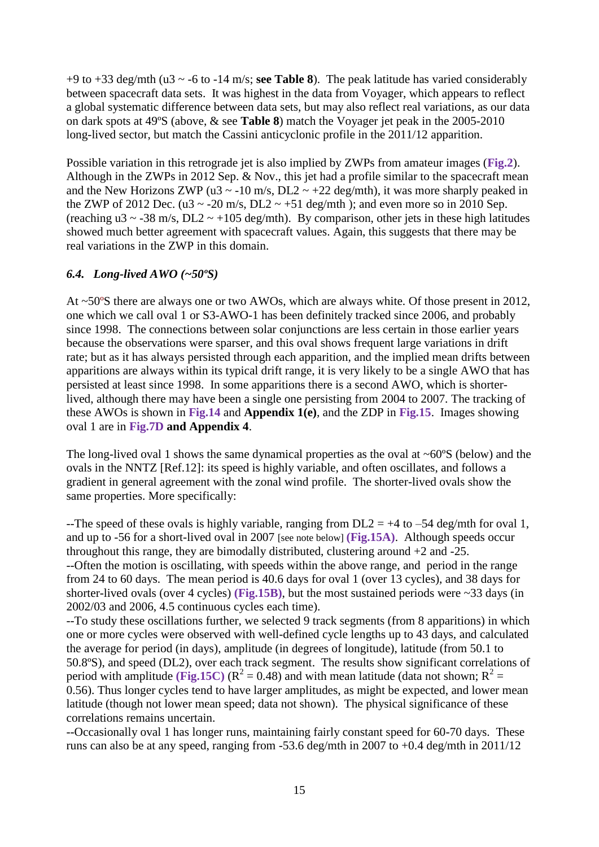+9 to +33 deg/mth (u3 ~ -6 to -14 m/s; **see Table 8**). The peak latitude has varied considerably between spacecraft data sets. It was highest in the data from Voyager, which appears to reflect a global systematic difference between data sets, but may also reflect real variations, as our data on dark spots at 49ºS (above, & see **Table 8**) match the Voyager jet peak in the 2005-2010 long-lived sector, but match the Cassini anticyclonic profile in the 2011/12 apparition.

Possible variation in this retrograde jet is also implied by ZWPs from amateur images (**Fig.2**). Although in the ZWPs in 2012 Sep. & Nov., this jet had a profile similar to the spacecraft mean and the New Horizons ZWP (u3  $\sim$  -10 m/s, DL2  $\sim$  +22 deg/mth), it was more sharply peaked in the ZWP of 2012 Dec. (u3  $\sim$  -20 m/s, DL2  $\sim$  +51 deg/mth); and even more so in 2010 Sep. (reaching u3  $\sim$  -38 m/s, DL2  $\sim$  +105 deg/mth). By comparison, other jets in these high latitudes showed much better agreement with spacecraft values. Again, this suggests that there may be real variations in the ZWP in this domain.

### *6.4. Long-lived AWO (~50ºS)*

At ~50ºS there are always one or two AWOs, which are always white. Of those present in 2012, one which we call oval 1 or S3-AWO-1 has been definitely tracked since 2006, and probably since 1998. The connections between solar conjunctions are less certain in those earlier years because the observations were sparser, and this oval shows frequent large variations in drift rate; but as it has always persisted through each apparition, and the implied mean drifts between apparitions are always within its typical drift range, it is very likely to be a single AWO that has persisted at least since 1998. In some apparitions there is a second AWO, which is shorterlived, although there may have been a single one persisting from 2004 to 2007. The tracking of these AWOs is shown in **Fig.14** and **Appendix 1(e)**, and the ZDP in **Fig.15**. Images showing oval 1 are in **Fig.7D and Appendix 4**.

The long-lived oval 1 shows the same dynamical properties as the oval at  $\sim 60^{\circ}$ S (below) and the ovals in the NNTZ [Ref.12]: its speed is highly variable, and often oscillates, and follows a gradient in general agreement with the zonal wind profile. The shorter-lived ovals show the same properties. More specifically:

--The speed of these ovals is highly variable, ranging from  $DL2 = +4$  to  $-54$  deg/mth for oval 1, and up to -56 for a short-lived oval in 2007 [see note below] **(Fig.15A)**. Although speeds occur throughout this range, they are bimodally distributed, clustering around +2 and -25. --Often the motion is oscillating, with speeds within the above range, and period in the range from 24 to 60 days. The mean period is 40.6 days for oval 1 (over 13 cycles), and 38 days for shorter-lived ovals (over 4 cycles) **(Fig.15B)**, but the most sustained periods were ~33 days (in 2002/03 and 2006, 4.5 continuous cycles each time).

--To study these oscillations further, we selected 9 track segments (from 8 apparitions) in which one or more cycles were observed with well-defined cycle lengths up to 43 days, and calculated the average for period (in days), amplitude (in degrees of longitude), latitude (from 50.1 to 50.8ºS), and speed (DL2), over each track segment. The results show significant correlations of period with amplitude (Fig.15C) ( $R^2 = 0.48$ ) and with mean latitude (data not shown;  $R^2 =$ 0.56). Thus longer cycles tend to have larger amplitudes, as might be expected, and lower mean latitude (though not lower mean speed; data not shown). The physical significance of these correlations remains uncertain.

--Occasionally oval 1 has longer runs, maintaining fairly constant speed for 60-70 days. These runs can also be at any speed, ranging from -53.6 deg/mth in 2007 to +0.4 deg/mth in 2011/12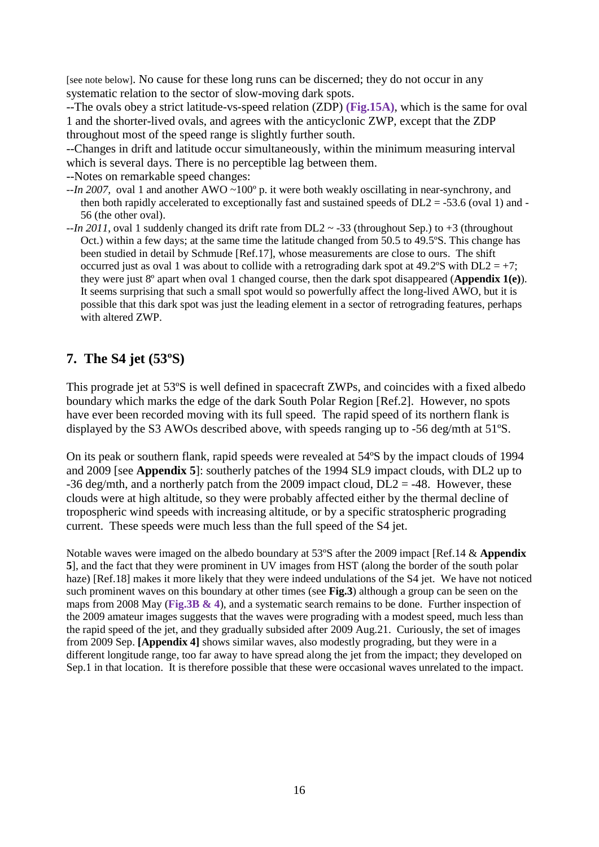[see note below]. No cause for these long runs can be discerned; they do not occur in any systematic relation to the sector of slow-moving dark spots.

--The ovals obey a strict latitude-vs-speed relation (ZDP) **(Fig.15A)**, which is the same for oval 1 and the shorter-lived ovals, and agrees with the anticyclonic ZWP, except that the ZDP throughout most of the speed range is slightly further south.

--Changes in drift and latitude occur simultaneously, within the minimum measuring interval which is several days. There is no perceptible lag between them.

--Notes on remarkable speed changes:

- *--In 2007,* oval 1 and another AWO ~100º p. it were both weakly oscillating in near-synchrony, and then both rapidly accelerated to exceptionally fast and sustained speeds of  $DL2 = -53.6$  (oval 1) and -56 (the other oval).
- $-i\hbar$  2011, oval 1 suddenly changed its drift rate from DL2  $\sim$  -33 (throughout Sep.) to +3 (throughout Oct.) within a few days; at the same time the latitude changed from 50.5 to 49.5ºS. This change has been studied in detail by Schmude [Ref.17], whose measurements are close to ours. The shift occurred just as oval 1 was about to collide with a retrograding dark spot at  $49.2^{\circ}$ S with DL2 = +7; they were just 8º apart when oval 1 changed course, then the dark spot disappeared (**Appendix 1(e)**). It seems surprising that such a small spot would so powerfully affect the long-lived AWO, but it is possible that this dark spot was just the leading element in a sector of retrograding features, perhaps with altered ZWP.

# **7. The S4 jet (53ºS)**

This prograde jet at 53ºS is well defined in spacecraft ZWPs, and coincides with a fixed albedo boundary which marks the edge of the dark South Polar Region [Ref.2]. However, no spots have ever been recorded moving with its full speed. The rapid speed of its northern flank is displayed by the S3 AWOs described above, with speeds ranging up to -56 deg/mth at 51ºS.

On its peak or southern flank, rapid speeds were revealed at 54ºS by the impact clouds of 1994 and 2009 [see **Appendix 5**]: southerly patches of the 1994 SL9 impact clouds, with DL2 up to -36 deg/mth, and a northerly patch from the 2009 impact cloud,  $DL2 = -48$ . However, these clouds were at high altitude, so they were probably affected either by the thermal decline of tropospheric wind speeds with increasing altitude, or by a specific stratospheric prograding current. These speeds were much less than the full speed of the S4 jet.

Notable waves were imaged on the albedo boundary at 53ºS after the 2009 impact [Ref.14 & **Appendix 5**], and the fact that they were prominent in UV images from HST (along the border of the south polar haze) [Ref.18] makes it more likely that they were indeed undulations of the S4 jet. We have not noticed such prominent waves on this boundary at other times (see **Fig.3**) although a group can be seen on the maps from 2008 May (**Fig.3B & 4**), and a systematic search remains to be done. Further inspection of the 2009 amateur images suggests that the waves were prograding with a modest speed, much less than the rapid speed of the jet, and they gradually subsided after 2009 Aug.21. Curiously, the set of images from 2009 Sep. **[Appendix 4]** shows similar waves, also modestly prograding, but they were in a different longitude range, too far away to have spread along the jet from the impact; they developed on Sep.1 in that location. It is therefore possible that these were occasional waves unrelated to the impact.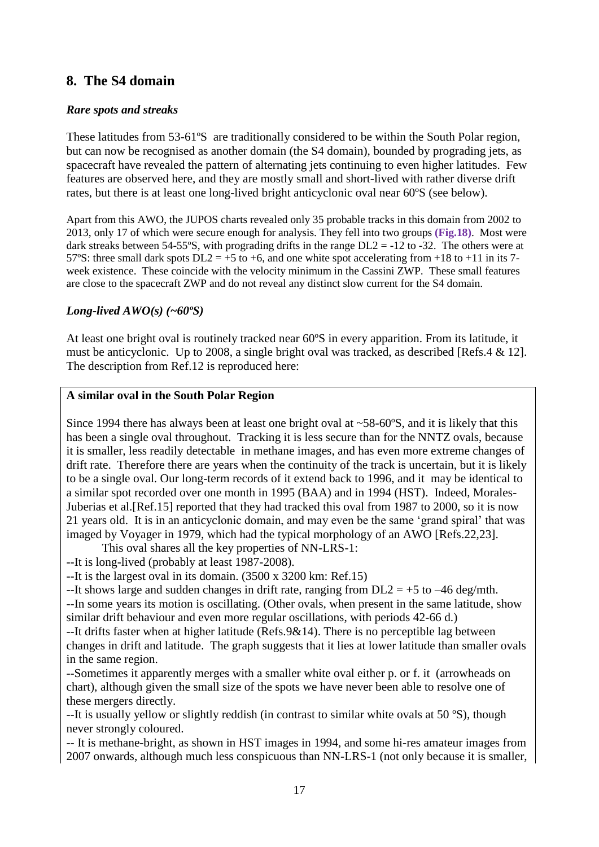### **8. The S4 domain**

### *Rare spots and streaks*

These latitudes from 53-61ºS are traditionally considered to be within the South Polar region, but can now be recognised as another domain (the S4 domain), bounded by prograding jets, as spacecraft have revealed the pattern of alternating jets continuing to even higher latitudes. Few features are observed here, and they are mostly small and short-lived with rather diverse drift rates, but there is at least one long-lived bright anticyclonic oval near 60ºS (see below).

Apart from this AWO, the JUPOS charts revealed only 35 probable tracks in this domain from 2002 to 2013, only 17 of which were secure enough for analysis. They fell into two groups **(Fig.18)**. Most were dark streaks between 54-55°S, with prograding drifts in the range  $DL2 = -12$  to -32. The others were at 57°S: three small dark spots  $DL2 = +5$  to  $+6$ , and one white spot accelerating from  $+18$  to  $+11$  in its 7week existence. These coincide with the velocity minimum in the Cassini ZWP. These small features are close to the spacecraft ZWP and do not reveal any distinct slow current for the S4 domain.

### *Long-lived AWO(s) (~60ºS)*

At least one bright oval is routinely tracked near 60ºS in every apparition. From its latitude, it must be anticyclonic. Up to 2008, a single bright oval was tracked, as described [Refs.4 & 12]. The description from Ref.12 is reproduced here:

### **A similar oval in the South Polar Region**

Since 1994 there has always been at least one bright oval at ~58-60ºS, and it is likely that this has been a single oval throughout. Tracking it is less secure than for the NNTZ ovals, because it is smaller, less readily detectable in methane images, and has even more extreme changes of drift rate. Therefore there are years when the continuity of the track is uncertain, but it is likely to be a single oval. Our long-term records of it extend back to 1996, and it may be identical to a similar spot recorded over one month in 1995 (BAA) and in 1994 (HST). Indeed, Morales-Juberias et al.[Ref.15] reported that they had tracked this oval from 1987 to 2000, so it is now 21 years old. It is in an anticyclonic domain, and may even be the same 'grand spiral' that was imaged by Voyager in 1979, which had the typical morphology of an AWO [Refs.22,23].

This oval shares all the key properties of NN-LRS-1:

--It is long-lived (probably at least 1987-2008).

--It is the largest oval in its domain. (3500 x 3200 km: Ref.15)

--It shows large and sudden changes in drift rate, ranging from  $DL2 = +5$  to  $-46$  deg/mth. --In some years its motion is oscillating. (Other ovals, when present in the same latitude, show similar drift behaviour and even more regular oscillations, with periods 42-66 d.)

--It drifts faster when at higher latitude (Refs.9&14). There is no perceptible lag between changes in drift and latitude. The graph suggests that it lies at lower latitude than smaller ovals in the same region.

--Sometimes it apparently merges with a smaller white oval either p. or f. it (arrowheads on chart), although given the small size of the spots we have never been able to resolve one of these mergers directly.

--It is usually yellow or slightly reddish (in contrast to similar white ovals at 50 ºS), though never strongly coloured.

-- It is methane-bright, as shown in HST images in 1994, and some hi-res amateur images from 2007 onwards, although much less conspicuous than NN-LRS-1 (not only because it is smaller,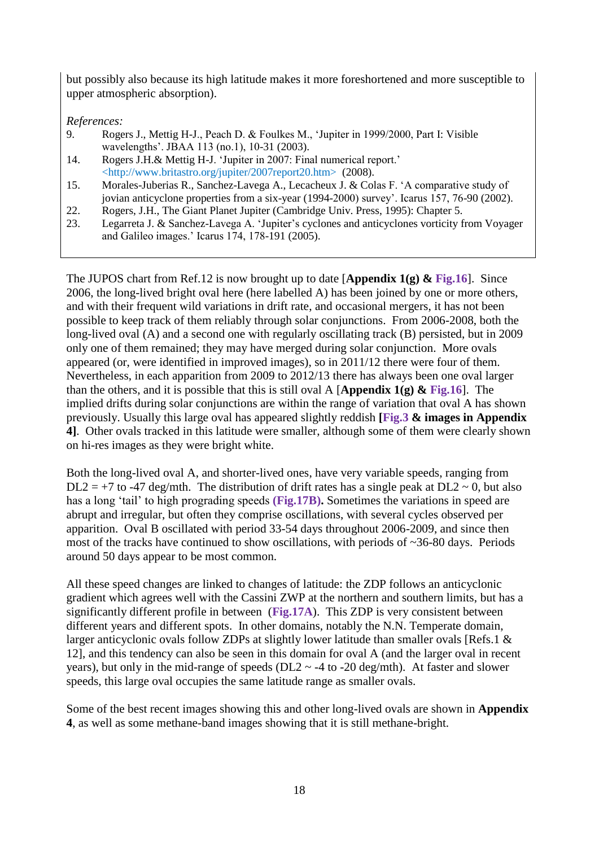but possibly also because its high latitude makes it more foreshortened and more susceptible to upper atmospheric absorption).

*References:*

- 9. Rogers J., Mettig H-J., Peach D. & Foulkes M., 'Jupiter in 1999/2000, Part I: Visible wavelengths'. JBAA 113 (no.1), 10-31 (2003).
- 14. Rogers J.H.& Mettig H-J. 'Jupiter in 2007: Final numerical report.' <http://www.britastro.org/jupiter/2007report20.htm> (2008).
- 15. Morales-Juberias R., Sanchez-Lavega A., Lecacheux J. & Colas F. 'A comparative study of jovian anticyclone properties from a six-year (1994-2000) survey'. Icarus 157, 76-90 (2002).
- 22. Rogers, J.H., The Giant Planet Jupiter (Cambridge Univ. Press, 1995): Chapter 5.
- 23. Legarreta J. & Sanchez-Lavega A. 'Jupiter's cyclones and anticyclones vorticity from Voyager and Galileo images.' Icarus 174, 178-191 (2005).

The JUPOS chart from Ref.12 is now brought up to date [**Appendix 1(g) & Fig.16**]. Since 2006, the long-lived bright oval here (here labelled A) has been joined by one or more others, and with their frequent wild variations in drift rate, and occasional mergers, it has not been possible to keep track of them reliably through solar conjunctions. From 2006-2008, both the long-lived oval (A) and a second one with regularly oscillating track (B) persisted, but in 2009 only one of them remained; they may have merged during solar conjunction. More ovals appeared (or, were identified in improved images), so in 2011/12 there were four of them. Nevertheless, in each apparition from 2009 to 2012/13 there has always been one oval larger than the others, and it is possible that this is still oval A [**Appendix 1(g) & Fig.16**]. The implied drifts during solar conjunctions are within the range of variation that oval A has shown previously. Usually this large oval has appeared slightly reddish **[Fig.3 & images in Appendix 4]**. Other ovals tracked in this latitude were smaller, although some of them were clearly shown on hi-res images as they were bright white.

Both the long-lived oval A, and shorter-lived ones, have very variable speeds, ranging from  $DL2 = +7$  to -47 deg/mth. The distribution of drift rates has a single peak at  $DL2 \sim 0$ , but also has a long 'tail' to high prograding speeds **(Fig.17B).** Sometimes the variations in speed are abrupt and irregular, but often they comprise oscillations, with several cycles observed per apparition. Oval B oscillated with period 33-54 days throughout 2006-2009, and since then most of the tracks have continued to show oscillations, with periods of ~36-80 days. Periods around 50 days appear to be most common.

All these speed changes are linked to changes of latitude: the ZDP follows an anticyclonic gradient which agrees well with the Cassini ZWP at the northern and southern limits, but has a significantly different profile in between (**Fig.17A**). This ZDP is very consistent between different years and different spots. In other domains, notably the N.N. Temperate domain, larger anticyclonic ovals follow ZDPs at slightly lower latitude than smaller ovals [Refs.1 & 12], and this tendency can also be seen in this domain for oval A (and the larger oval in recent years), but only in the mid-range of speeds ( $DL2 \sim -4$  to  $-20$  deg/mth). At faster and slower speeds, this large oval occupies the same latitude range as smaller ovals.

Some of the best recent images showing this and other long-lived ovals are shown in **Appendix 4**, as well as some methane-band images showing that it is still methane-bright.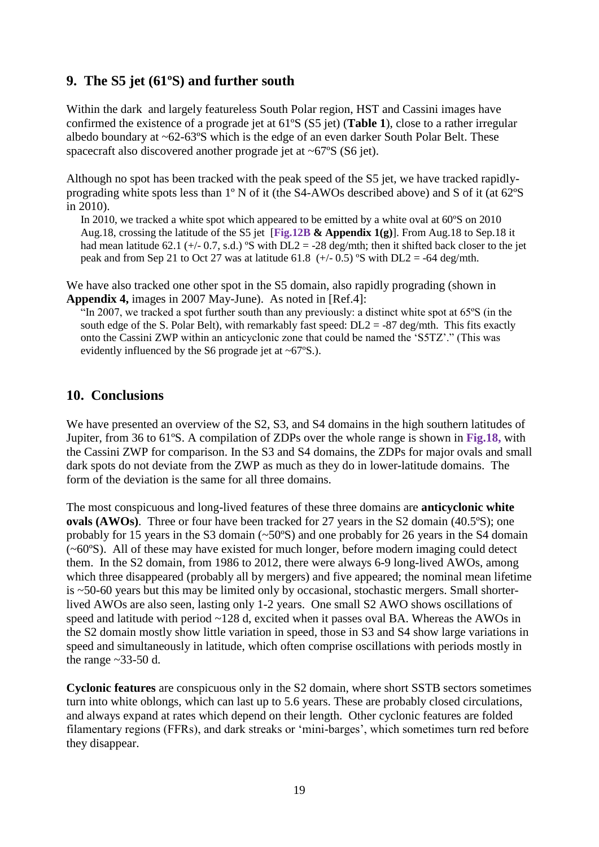### **9. The S5 jet (61ºS) and further south**

Within the dark and largely featureless South Polar region, HST and Cassini images have confirmed the existence of a prograde jet at 61ºS (S5 jet) (**Table 1**), close to a rather irregular albedo boundary at ~62-63ºS which is the edge of an even darker South Polar Belt. These spacecraft also discovered another prograde jet at ~67ºS (S6 jet).

Although no spot has been tracked with the peak speed of the S5 jet, we have tracked rapidlyprograding white spots less than 1º N of it (the S4-AWOs described above) and S of it (at 62ºS in 2010).

In 2010, we tracked a white spot which appeared to be emitted by a white oval at 60ºS on 2010 Aug.18, crossing the latitude of the S5 jet [**Fig.12B & Appendix 1(g)**]. From Aug.18 to Sep.18 it had mean latitude 62.1 ( $+/-$  0.7, s.d.) °S with DL2 = -28 deg/mth; then it shifted back closer to the jet peak and from Sep 21 to Oct 27 was at latitude 61.8  $(+/- 0.5)$  °S with DL2 = -64 deg/mth.

We have also tracked one other spot in the S5 domain, also rapidly prograding (shown in **Appendix 4,** images in 2007 May-June). As noted in [Ref.4]:

"In 2007, we tracked a spot further south than any previously: a distinct white spot at 65ºS (in the south edge of the S. Polar Belt), with remarkably fast speed:  $DL2 = -87 \text{ deg/mL}$ . This fits exactly onto the Cassini ZWP within an anticyclonic zone that could be named the 'S5TZ'." (This was evidently influenced by the S6 prograde jet at ~67ºS.).

### **10. Conclusions**

We have presented an overview of the S2, S3, and S4 domains in the high southern latitudes of Jupiter, from 36 to 61ºS. A compilation of ZDPs over the whole range is shown in **Fig.18,** with the Cassini ZWP for comparison. In the S3 and S4 domains, the ZDPs for major ovals and small dark spots do not deviate from the ZWP as much as they do in lower-latitude domains. The form of the deviation is the same for all three domains.

The most conspicuous and long-lived features of these three domains are **anticyclonic white ovals (AWOs)**. Three or four have been tracked for 27 years in the S2 domain (40.5°S); one probably for 15 years in the S3 domain  $(\sim 50^{\circ}S)$  and one probably for 26 years in the S4 domain (~60ºS). All of these may have existed for much longer, before modern imaging could detect them. In the S2 domain, from 1986 to 2012, there were always 6-9 long-lived AWOs, among which three disappeared (probably all by mergers) and five appeared; the nominal mean lifetime is ~50-60 years but this may be limited only by occasional, stochastic mergers. Small shorterlived AWOs are also seen, lasting only 1-2 years. One small S2 AWO shows oscillations of speed and latitude with period ~128 d, excited when it passes oval BA. Whereas the AWOs in the S2 domain mostly show little variation in speed, those in S3 and S4 show large variations in speed and simultaneously in latitude, which often comprise oscillations with periods mostly in the range  $\sim$ 33-50 d.

**Cyclonic features** are conspicuous only in the S2 domain, where short SSTB sectors sometimes turn into white oblongs, which can last up to 5.6 years. These are probably closed circulations, and always expand at rates which depend on their length. Other cyclonic features are folded filamentary regions (FFRs), and dark streaks or 'mini-barges', which sometimes turn red before they disappear.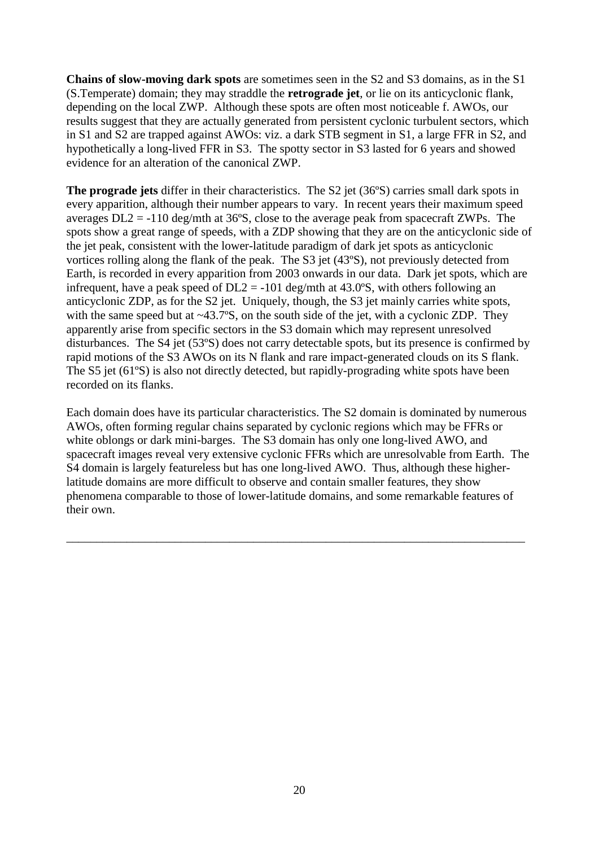**Chains of slow-moving dark spots** are sometimes seen in the S2 and S3 domains, as in the S1 (S.Temperate) domain; they may straddle the **retrograde jet**, or lie on its anticyclonic flank, depending on the local ZWP. Although these spots are often most noticeable f. AWOs, our results suggest that they are actually generated from persistent cyclonic turbulent sectors, which in S1 and S2 are trapped against AWOs: viz. a dark STB segment in S1, a large FFR in S2, and hypothetically a long-lived FFR in S3. The spotty sector in S3 lasted for 6 years and showed evidence for an alteration of the canonical ZWP.

**The prograde jets** differ in their characteristics. The S2 jet (36ºS) carries small dark spots in every apparition, although their number appears to vary. In recent years their maximum speed averages DL2 = -110 deg/mth at 36ºS, close to the average peak from spacecraft ZWPs. The spots show a great range of speeds, with a ZDP showing that they are on the anticyclonic side of the jet peak, consistent with the lower-latitude paradigm of dark jet spots as anticyclonic vortices rolling along the flank of the peak. The S3 jet (43ºS), not previously detected from Earth, is recorded in every apparition from 2003 onwards in our data. Dark jet spots, which are infrequent, have a peak speed of  $DL2 = -101$  deg/mth at 43.0°S, with others following an anticyclonic ZDP, as for the S2 jet. Uniquely, though, the S3 jet mainly carries white spots, with the same speed but at  $\sim$ 43.7°S, on the south side of the jet, with a cyclonic ZDP. They apparently arise from specific sectors in the S3 domain which may represent unresolved disturbances. The S4 jet (53ºS) does not carry detectable spots, but its presence is confirmed by rapid motions of the S3 AWOs on its N flank and rare impact-generated clouds on its S flank. The S5 jet (61ºS) is also not directly detected, but rapidly-prograding white spots have been recorded on its flanks.

Each domain does have its particular characteristics. The S2 domain is dominated by numerous AWOs, often forming regular chains separated by cyclonic regions which may be FFRs or white oblongs or dark mini-barges. The S3 domain has only one long-lived AWO, and spacecraft images reveal very extensive cyclonic FFRs which are unresolvable from Earth. The S4 domain is largely featureless but has one long-lived AWO. Thus, although these higherlatitude domains are more difficult to observe and contain smaller features, they show phenomena comparable to those of lower-latitude domains, and some remarkable features of their own.

\_\_\_\_\_\_\_\_\_\_\_\_\_\_\_\_\_\_\_\_\_\_\_\_\_\_\_\_\_\_\_\_\_\_\_\_\_\_\_\_\_\_\_\_\_\_\_\_\_\_\_\_\_\_\_\_\_\_\_\_\_\_\_\_\_\_\_\_\_\_\_\_\_\_\_\_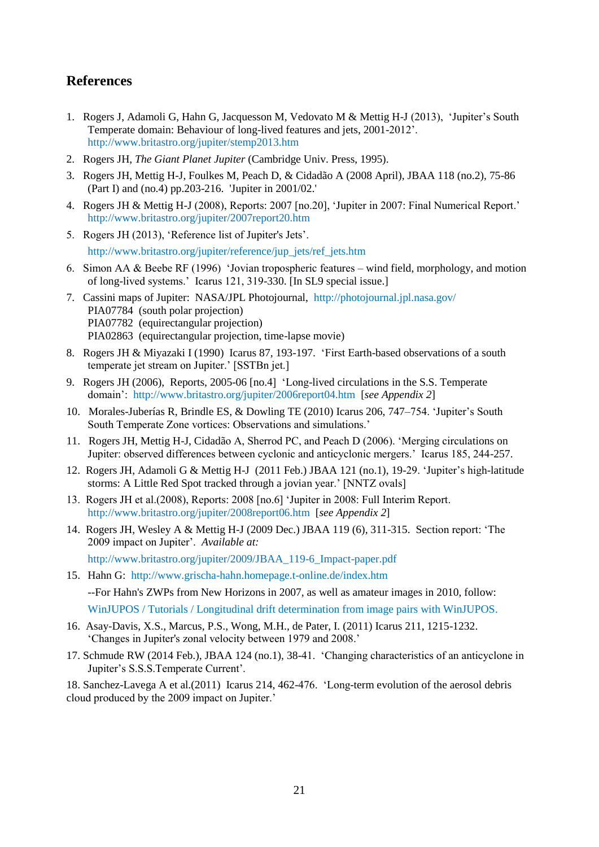### **References**

- 1. Rogers J, Adamoli G, Hahn G, Jacquesson M, Vedovato M & Mettig H-J (2013), 'Jupiter's South Temperate domain: Behaviour of long-lived features and jets, 2001-2012'. http://www.britastro.org/jupiter/stemp2013.htm
- 2. Rogers JH, *The Giant Planet Jupiter* (Cambridge Univ. Press, 1995).
- 3. Rogers JH, Mettig H-J, Foulkes M, Peach D, & Cidadão A (2008 April), JBAA 118 (no.2), 75-86 (Part I) and (no.4) pp.203-216. 'Jupiter in 2001/02.'
- 4. Rogers JH & Mettig H-J (2008), Reports: 2007 [no.20], 'Jupiter in 2007: Final Numerical Report.' http://www.britastro.org/jupiter/2007report20.htm
- 5. Rogers JH (2013), 'Reference list of Jupiter's Jets'. http://www.britastro.org/jupiter/reference/jup\_jets/ref\_jets.htm
- 6. Simon AA & Beebe RF (1996) 'Jovian tropospheric features wind field, morphology, and motion of long-lived systems.' Icarus 121, 319-330. [In SL9 special issue.]
- 7. Cassini maps of Jupiter: NASA/JPL Photojournal, http://photojournal.jpl.nasa.gov/ PIA07784 (south polar projection) PIA07782 (equirectangular projection) PIA02863 (equirectangular projection, time-lapse movie)
- 8. Rogers JH & Miyazaki I (1990) Icarus 87, 193-197. 'First Earth-based observations of a south temperate jet stream on Jupiter.' [SSTBn jet.]
- 9. Rogers JH (2006), Reports, 2005-06 [no.4] 'Long-lived circulations in the S.S. Temperate domain': http://www.britastro.org/jupiter/2006report04.htm [*see Appendix 2*]
- 10. Morales-Juberías R, Brindle ES, & Dowling TE (2010) Icarus 206, 747–754. 'Jupiter's South South Temperate Zone vortices: Observations and simulations.'
- 11. Rogers JH, Mettig H-J, Cidadão A, Sherrod PC, and Peach D (2006). 'Merging circulations on Jupiter: observed differences between cyclonic and anticyclonic mergers.' Icarus 185, 244-257.
- 12. Rogers JH, Adamoli G & Mettig H-J (2011 Feb.) JBAA 121 (no.1), 19-29. 'Jupiter's high-latitude storms: A Little Red Spot tracked through a jovian year.' [NNTZ ovals]
- 13. Rogers JH et al.(2008), Reports: 2008 [no.6] 'Jupiter in 2008: Full Interim Report. http://www.britastro.org/jupiter/2008report06.htm [*see Appendix 2*]
- 14. Rogers JH, Wesley A & Mettig H-J (2009 Dec.) JBAA 119 (6), 311-315. Section report: 'The 2009 impact on Jupiter'. *Available at:* http://www.britastro.org/jupiter/2009/JBAA\_119-6\_Impact-paper.pdf
- 15. Hahn G: http://www.grischa-hahn.homepage.t-online.de/index.htm --For Hahn's ZWPs from New Horizons in 2007, as well as amateur images in 2010, follow: WinJUPOS / Tutorials / Longitudinal drift determination from image pairs with WinJUPOS.
- 16. Asay-Davis, X.S., Marcus, P.S., Wong, M.H., de Pater, I. (2011) Icarus 211, 1215-1232. 'Changes in Jupiter's zonal velocity between 1979 and 2008.'
- 17. Schmude RW (2014 Feb.), JBAA 124 (no.1), 38-41. 'Changing characteristics of an anticyclone in Jupiter's S.S.S.Temperate Current'.

18. Sanchez-Lavega A et al.(2011) Icarus 214, 462-476. 'Long-term evolution of the aerosol debris cloud produced by the 2009 impact on Jupiter.'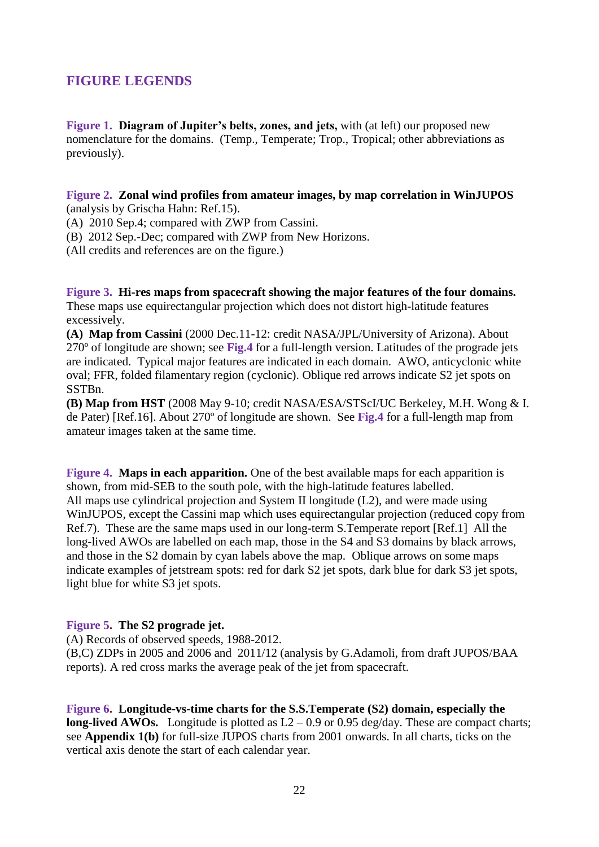# **FIGURE LEGENDS**

**Figure 1. Diagram of Jupiter's belts, zones, and jets,** with (at left) our proposed new nomenclature for the domains. (Temp., Temperate; Trop., Tropical; other abbreviations as previously).

#### **Figure 2. Zonal wind profiles from amateur images, by map correlation in WinJUPOS**  (analysis by Grischa Hahn: Ref.15).

(A) 2010 Sep.4; compared with ZWP from Cassini.

(B) 2012 Sep.-Dec; compared with ZWP from New Horizons.

(All credits and references are on the figure.)

**Figure 3. Hi-res maps from spacecraft showing the major features of the four domains.**  These maps use equirectangular projection which does not distort high-latitude features excessively.

**(A) Map from Cassini** (2000 Dec.11-12: credit NASA/JPL/University of Arizona). About 270º of longitude are shown; see **Fig.4** for a full-length version. Latitudes of the prograde jets are indicated. Typical major features are indicated in each domain. AWO, anticyclonic white oval; FFR, folded filamentary region (cyclonic). Oblique red arrows indicate S2 jet spots on SSTBn.

**(B) Map from HST** (2008 May 9-10; credit NASA/ESA/STScI/UC Berkeley, M.H. Wong & I. de Pater) [Ref.16]. About 270º of longitude are shown. See **Fig.4** for a full-length map from amateur images taken at the same time.

**Figure 4. Maps in each apparition.** One of the best available maps for each apparition is shown, from mid-SEB to the south pole, with the high-latitude features labelled. All maps use cylindrical projection and System II longitude (L2), and were made using WinJUPOS, except the Cassini map which uses equirectangular projection (reduced copy from Ref.7). These are the same maps used in our long-term S.Temperate report [Ref.1] All the long-lived AWOs are labelled on each map, those in the S4 and S3 domains by black arrows, and those in the S2 domain by cyan labels above the map. Oblique arrows on some maps indicate examples of jetstream spots: red for dark S2 jet spots, dark blue for dark S3 jet spots, light blue for white S3 jet spots.

#### **Figure 5. The S2 prograde jet.**

(A) Records of observed speeds, 1988-2012.

(B,C) ZDPs in 2005 and 2006 and 2011/12 (analysis by G.Adamoli, from draft JUPOS/BAA reports). A red cross marks the average peak of the jet from spacecraft.

**Figure 6. Longitude-vs-time charts for the S.S.Temperate (S2) domain, especially the long-lived AWOs.** Longitude is plotted as  $L2 - 0.9$  or 0.95 deg/day. These are compact charts; see **Appendix 1(b)** for full-size JUPOS charts from 2001 onwards. In all charts, ticks on the vertical axis denote the start of each calendar year.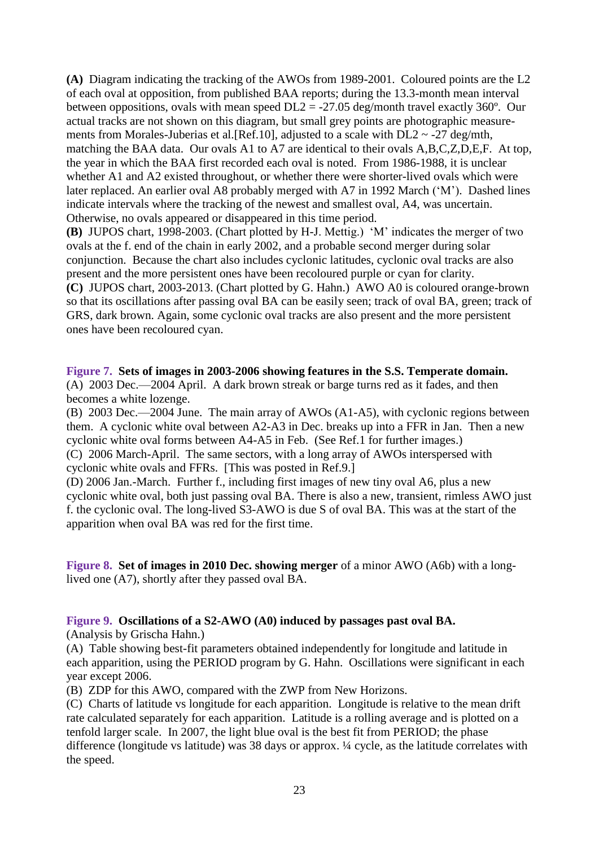**(A)** Diagram indicating the tracking of the AWOs from 1989-2001. Coloured points are the L2 of each oval at opposition, from published BAA reports; during the 13.3-month mean interval between oppositions, ovals with mean speed  $DL2 = -27.05$  deg/month travel exactly 360 $^{\circ}$ . Our actual tracks are not shown on this diagram, but small grey points are photographic measurements from Morales-Juberias et al. [Ref.10], adjusted to a scale with  $DL2 \sim -27$  deg/mth, matching the BAA data. Our ovals A1 to A7 are identical to their ovals A,B,C,Z,D,E,F. At top, the year in which the BAA first recorded each oval is noted. From 1986-1988, it is unclear whether A1 and A2 existed throughout, or whether there were shorter-lived ovals which were later replaced. An earlier oval A8 probably merged with A7 in 1992 March ('M'). Dashed lines indicate intervals where the tracking of the newest and smallest oval, A4, was uncertain. Otherwise, no ovals appeared or disappeared in this time period.

**(B)** JUPOS chart, 1998-2003. (Chart plotted by H-J. Mettig.) 'M' indicates the merger of two ovals at the f. end of the chain in early 2002, and a probable second merger during solar conjunction. Because the chart also includes cyclonic latitudes, cyclonic oval tracks are also present and the more persistent ones have been recoloured purple or cyan for clarity. **(C)** JUPOS chart, 2003-2013. (Chart plotted by G. Hahn.) AWO A0 is coloured orange-brown so that its oscillations after passing oval BA can be easily seen; track of oval BA, green; track of GRS, dark brown. Again, some cyclonic oval tracks are also present and the more persistent ones have been recoloured cyan.

**Figure 7. Sets of images in 2003-2006 showing features in the S.S. Temperate domain.** (A) 2003 Dec.—2004 April. A dark brown streak or barge turns red as it fades, and then becomes a white lozenge.

(B) 2003 Dec.—2004 June. The main array of AWOs (A1-A5), with cyclonic regions between them. A cyclonic white oval between A2-A3 in Dec. breaks up into a FFR in Jan. Then a new cyclonic white oval forms between A4-A5 in Feb. (See Ref.1 for further images.) (C) 2006 March-April. The same sectors, with a long array of AWOs interspersed with cyclonic white ovals and FFRs. [This was posted in Ref.9.]

(D) 2006 Jan.-March. Further f., including first images of new tiny oval A6, plus a new cyclonic white oval, both just passing oval BA. There is also a new, transient, rimless AWO just f. the cyclonic oval. The long-lived S3-AWO is due S of oval BA. This was at the start of the apparition when oval BA was red for the first time.

**Figure 8. Set of images in 2010 Dec. showing merger** of a minor AWO (A6b) with a longlived one (A7), shortly after they passed oval BA.

### **Figure 9. Oscillations of a S2-AWO (A0) induced by passages past oval BA.**

(Analysis by Grischa Hahn.)

(A) Table showing best-fit parameters obtained independently for longitude and latitude in each apparition, using the PERIOD program by G. Hahn. Oscillations were significant in each year except 2006.

(B) ZDP for this AWO, compared with the ZWP from New Horizons.

(C) Charts of latitude vs longitude for each apparition. Longitude is relative to the mean drift rate calculated separately for each apparition. Latitude is a rolling average and is plotted on a tenfold larger scale. In 2007, the light blue oval is the best fit from PERIOD; the phase difference (longitude vs latitude) was 38 days or approx. ¼ cycle, as the latitude correlates with the speed.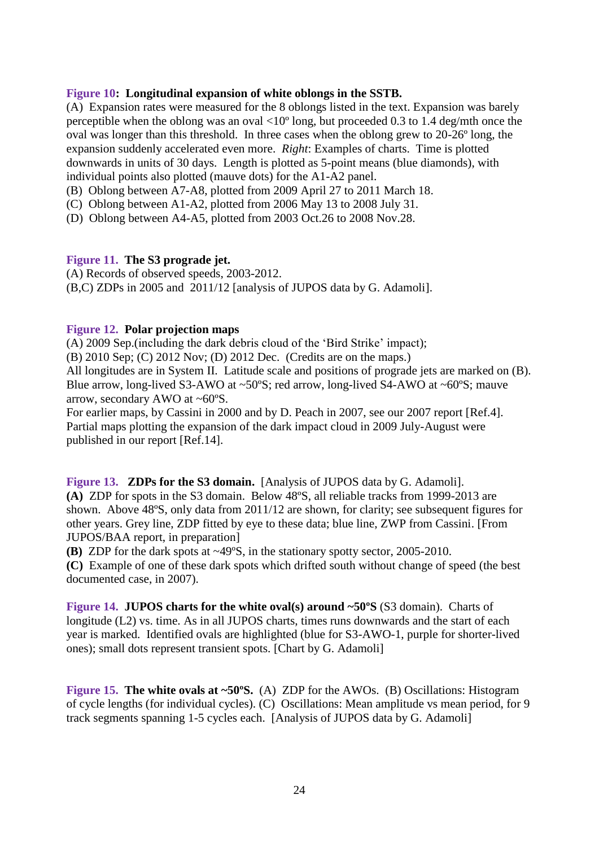### **Figure 10: Longitudinal expansion of white oblongs in the SSTB.**

(A) Expansion rates were measured for the 8 oblongs listed in the text. Expansion was barely perceptible when the oblong was an oval <10º long, but proceeded 0.3 to 1.4 deg/mth once the oval was longer than this threshold. In three cases when the oblong grew to 20-26º long, the expansion suddenly accelerated even more. *Right*: Examples of charts. Time is plotted downwards in units of 30 days. Length is plotted as 5-point means (blue diamonds), with individual points also plotted (mauve dots) for the A1-A2 panel.

- (B) Oblong between A7-A8, plotted from 2009 April 27 to 2011 March 18.
- (C) Oblong between A1-A2, plotted from 2006 May 13 to 2008 July 31.
- (D) Oblong between A4-A5, plotted from 2003 Oct.26 to 2008 Nov.28.

#### **Figure 11. The S3 prograde jet.**

(A) Records of observed speeds, 2003-2012. (B,C) ZDPs in 2005 and 2011/12 [analysis of JUPOS data by G. Adamoli].

#### **Figure 12. Polar projection maps**

(A) 2009 Sep.(including the dark debris cloud of the 'Bird Strike' impact);

(B) 2010 Sep; (C) 2012 Nov; (D) 2012 Dec. (Credits are on the maps.)

All longitudes are in System II. Latitude scale and positions of prograde jets are marked on (B). Blue arrow, long-lived S3-AWO at ~50ºS; red arrow, long-lived S4-AWO at ~60ºS; mauve arrow, secondary AWO at ~60ºS.

For earlier maps, by Cassini in 2000 and by D. Peach in 2007, see our 2007 report [Ref.4]. Partial maps plotting the expansion of the dark impact cloud in 2009 July-August were published in our report [Ref.14].

**Figure 13. ZDPs for the S3 domain.** [Analysis of JUPOS data by G. Adamoli]. **(A)** ZDP for spots in the S3 domain. Below 48ºS, all reliable tracks from 1999-2013 are shown. Above 48ºS, only data from 2011/12 are shown, for clarity; see subsequent figures for other years. Grey line, ZDP fitted by eye to these data; blue line, ZWP from Cassini. [From JUPOS/BAA report, in preparation]

**(B)** ZDP for the dark spots at ~49ºS, in the stationary spotty sector, 2005-2010.

**(C)** Example of one of these dark spots which drifted south without change of speed (the best documented case, in 2007).

**Figure 14. JUPOS charts for the white oval(s) around ~50°S (S3 domain).** Charts of longitude (L2) vs. time. As in all JUPOS charts, times runs downwards and the start of each year is marked. Identified ovals are highlighted (blue for S3-AWO-1, purple for shorter-lived ones); small dots represent transient spots. [Chart by G. Adamoli]

**Figure 15. The white ovals at ~50°S.** (A) ZDP for the AWOs. (B) Oscillations: Histogram of cycle lengths (for individual cycles). (C) Oscillations: Mean amplitude vs mean period, for 9 track segments spanning 1-5 cycles each. [Analysis of JUPOS data by G. Adamoli]